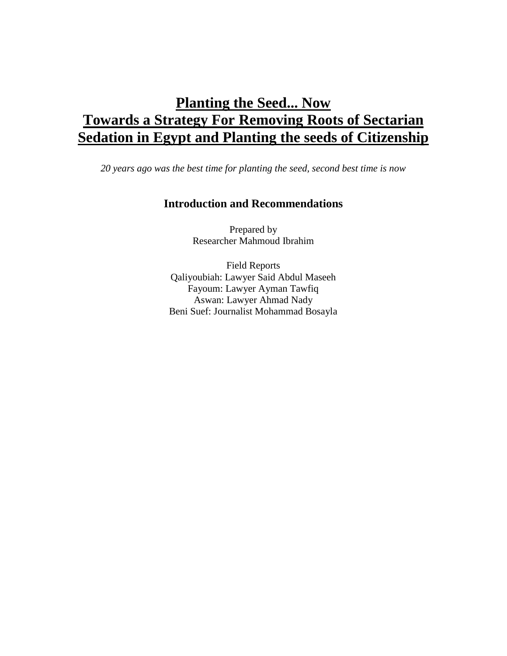# **Planting the Seed... Now Towards a Strategy For Removing Roots of Sectarian Sedation in Egypt and Planting the seeds of Citizenship**

*20 years ago was the best time for planting the seed, second best time is now*

# **Introduction and Recommendations**

Prepared by Researcher Mahmoud Ibrahim

Field Reports Qaliyoubiah: Lawyer Said Abdul Maseeh Fayoum: Lawyer Ayman Tawfiq Aswan: Lawyer Ahmad Nady Beni Suef: Journalist Mohammad Bosayla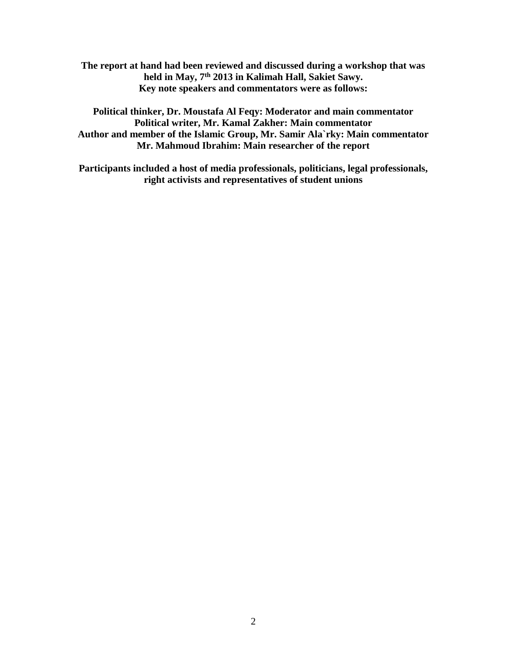**The report at hand had been reviewed and discussed during a workshop that was held in May, 7th 2013 in Kalimah Hall, Sakiet Sawy. Key note speakers and commentators were as follows:**

**Political thinker, Dr. Moustafa Al Feqy: Moderator and main commentator Political writer, Mr. Kamal Zakher: Main commentator Author and member of the Islamic Group, Mr. Samir Ala`rky: Main commentator Mr. Mahmoud Ibrahim: Main researcher of the report**

**Participants included a host of media professionals, politicians, legal professionals, right activists and representatives of student unions**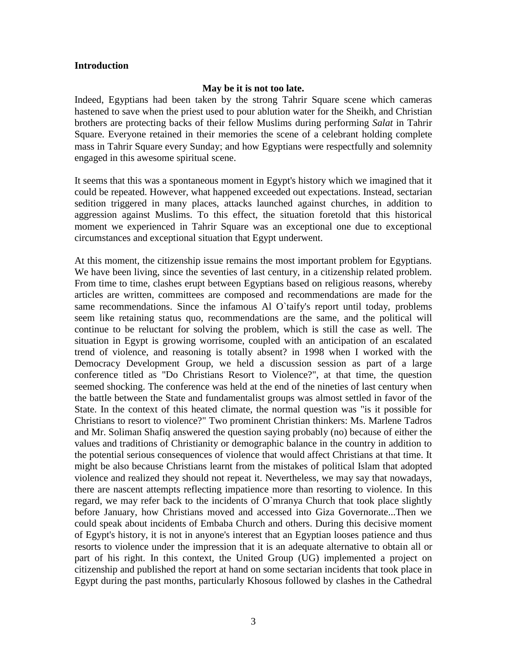#### **Introduction**

#### **May be it is not too late.**

Indeed, Egyptians had been taken by the strong Tahrir Square scene which cameras hastened to save when the priest used to pour ablution water for the Sheikh, and Christian brothers are protecting backs of their fellow Muslims during performing *Salat* in Tahrir Square. Everyone retained in their memories the scene of a celebrant holding complete mass in Tahrir Square every Sunday; and how Egyptians were respectfully and [solemnity](http://www.arabdict.com/english-arabic/solemnity) engaged in this awesome spiritual scene.

It seems that this was a spontaneous moment in Egypt's history which we imagined that it could be repeated. However, what happened exceeded out expectations. Instead, sectarian sedition triggered in many places, attacks launched against churches, in addition to aggression against Muslims. To this effect, the situation foretold that this historical moment we experienced in Tahrir Square was an exceptional one due to exceptional circumstances and exceptional situation that Egypt underwent.

At this moment, the citizenship issue remains the most important problem for Egyptians. We have been living, since the seventies of last century, in a citizenship related problem. From time to time, clashes erupt between Egyptians based on religious reasons, whereby articles are written, committees are composed and recommendations are made for the same recommendations. Since the infamous Al O`taify's report until today, problems seem like retaining status quo, recommendations are the same, and the political will continue to be reluctant for solving the problem, which is still the case as well. The situation in Egypt is growing worrisome, coupled with an anticipation of an escalated trend of violence, and reasoning is totally absent? in 1998 when I worked with the Democracy Development Group, we held a discussion session as part of a large conference titled as "Do Christians Resort to Violence?", at that time, the question seemed shocking. The conference was held at the end of the nineties of last century when the battle between the State and fundamentalist groups was almost settled in favor of the State. In the context of this heated climate, the normal question was "is it possible for Christians to resort to violence?" Two prominent Christian thinkers: Ms. Marlene Tadros and Mr. Soliman Shafiq answered the question saying probably (no) because of either the values and traditions of Christianity or demographic balance in the country in addition to the potential serious consequences of violence that would affect Christians at that time. It might be also because Christians learnt from the mistakes of political Islam that adopted violence and realized they should not repeat it. Nevertheless, we may say that nowadays, there are nascent attempts reflecting impatience more than resorting to violence. In this regard, we may refer back to the incidents of O`mranya Church that took place slightly before January, how Christians moved and accessed into Giza Governorate...Then we could speak about incidents of Embaba Church and others. During this decisive moment of Egypt's history, it is not in anyone's interest that an Egyptian looses patience and thus resorts to violence under the impression that it is an adequate alternative to obtain all or part of his right. In this context, the United Group (UG) implemented a project on citizenship and published the report at hand on some sectarian incidents that took place in Egypt during the past months, particularly Khosous followed by clashes in the Cathedral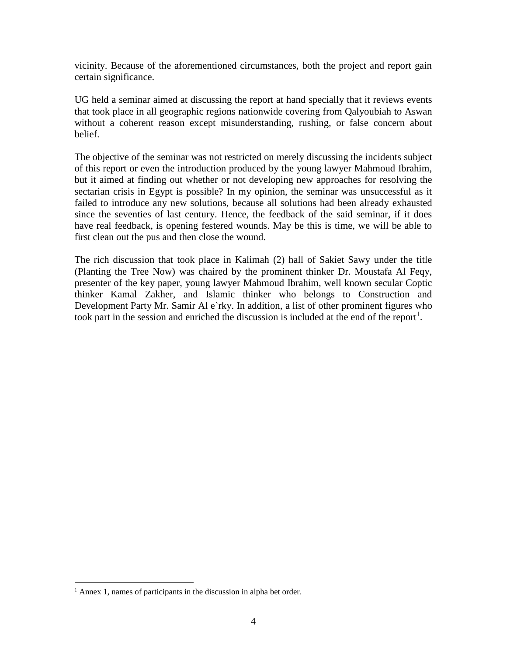vicinity. Because of the aforementioned circumstances, both the project and report gain certain significance.

UG held a seminar aimed at discussing the report at hand specially that it reviews events that took place in all geographic regions nationwide covering from Qalyoubiah to Aswan without a coherent reason except misunderstanding, rushing, or false concern about belief.

The objective of the seminar was not restricted on merely discussing the incidents subject of this report or even the introduction produced by the young lawyer Mahmoud Ibrahim, but it aimed at finding out whether or not developing new approaches for resolving the sectarian crisis in Egypt is possible? In my opinion, the seminar was unsuccessful as it failed to introduce any new solutions, because all solutions had been already exhausted since the seventies of last century. Hence, the feedback of the said seminar, if it does have real feedback, is opening festered wounds. May be this is time, we will be able to first clean out the pus and then close the wound.

The rich discussion that took place in Kalimah (2) hall of Sakiet Sawy under the title (Planting the Tree Now) was chaired by the prominent thinker Dr. Moustafa Al Feqy, presenter of the key paper, young lawyer Mahmoud Ibrahim, well known secular Coptic thinker Kamal Zakher, and Islamic thinker who belongs to Construction and Development Party Mr. Samir Al e`rky. In addition, a list of other prominent figures who took part in the session and enriched the discussion is included at the end of the report<sup>1</sup>.

<sup>&</sup>lt;sup>1</sup> Annex 1, names of participants in the discussion in alpha bet order.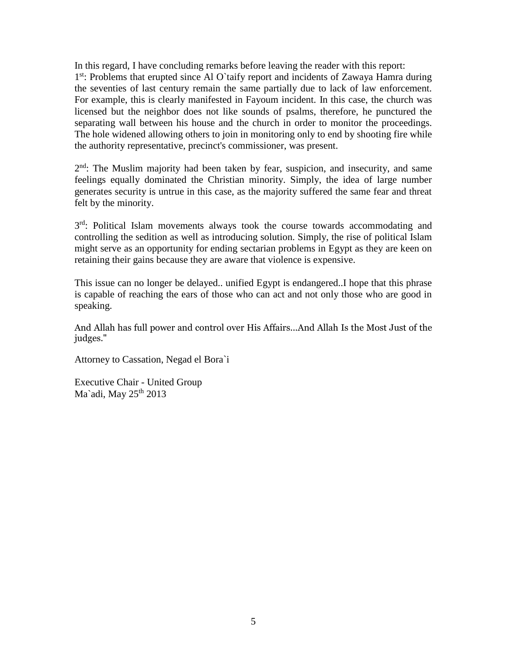In this regard, I have concluding remarks before leaving the reader with this report: 1<sup>st</sup>: Problems that erupted since Al O`taify report and incidents of Zawaya Hamra during the seventies of last century remain the same partially due to lack of law enforcement. For example, this is clearly manifested in Fayoum incident. In this case, the church was licensed but the neighbor does not like sounds of psalms, therefore, he punctured the separating wall between his house and the church in order to monitor the proceedings. The hole widened allowing others to join in monitoring only to end by shooting fire while the authority representative, precinct's commissioner, was present.

2<sup>nd</sup>: The Muslim majority had been taken by fear, suspicion, and insecurity, and same feelings equally dominated the Christian minority. Simply, the idea of large number generates security is untrue in this case, as the majority suffered the same fear and threat felt by the minority.

3<sup>rd</sup>: Political Islam movements always took the course towards accommodating and controlling the sedition as well as introducing solution. Simply, the rise of political Islam might serve as an opportunity for ending sectarian problems in Egypt as they are keen on retaining their gains because they are aware that violence is expensive.

This issue can no longer be delayed.. unified Egypt is endangered..I hope that this phrase is capable of reaching the ears of those who can act and not only those who are good in speaking.

And Allah has full power and control over His Affairs...And Allah Is the Most Just of the judges."

Attorney to Cassation, Negad el Bora`i

Executive Chair - United Group Ma'adi, May  $25<sup>th</sup> 2013$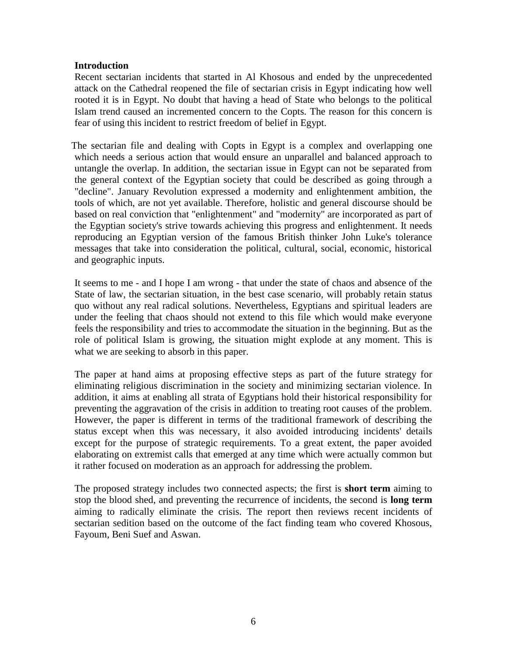### **Introduction**

Recent sectarian incidents that started in Al Khosous and ended by the unprecedented attack on the Cathedral reopened the file of sectarian crisis in Egypt indicating how well rooted it is in Egypt. No doubt that having a head of State who belongs to the political Islam trend caused an incremented concern to the Copts. The reason for this concern is fear of using this incident to restrict freedom of belief in Egypt.

The sectarian file and dealing with Copts in Egypt is a complex and overlapping one which needs a serious action that would ensure an unparallel and balanced approach to untangle the overlap. In addition, the sectarian issue in Egypt can not be separated from the general context of the Egyptian society that could be described as going through a "decline". January Revolution expressed a modernity and enlightenment ambition, the tools of which, are not yet available. Therefore, holistic and general discourse should be based on real conviction that "enlightenment" and "modernity" are incorporated as part of the Egyptian society's strive towards achieving this progress and enlightenment. It needs reproducing an Egyptian version of the famous British thinker John Luke's tolerance messages that take into consideration the political, cultural, social, economic, historical and geographic inputs.

It seems to me - and I hope I am wrong - that under the state of chaos and absence of the State of law, the sectarian situation, in the best case scenario, will probably retain status quo without any real radical solutions. Nevertheless, Egyptians and spiritual leaders are under the feeling that chaos should not extend to this file which would make everyone feels the responsibility and tries to accommodate the situation in the beginning. But as the role of political Islam is growing, the situation might explode at any moment. This is what we are seeking to absorb in this paper.

The paper at hand aims at proposing effective steps as part of the future strategy for eliminating religious discrimination in the society and minimizing sectarian violence. In addition, it aims at enabling all strata of Egyptians hold their historical responsibility for preventing the aggravation of the crisis in addition to treating root causes of the problem. However, the paper is different in terms of the traditional framework of describing the status except when this was necessary, it also avoided introducing incidents' details except for the purpose of strategic requirements. To a great extent, the paper avoided elaborating on extremist calls that emerged at any time which were actually common but it rather focused on moderation as an approach for addressing the problem.

The proposed strategy includes two connected aspects; the first is **short term** aiming to stop the blood shed, and preventing the recurrence of incidents, the second is **long term** aiming to radically eliminate the crisis. The report then reviews recent incidents of sectarian sedition based on the outcome of the fact finding team who covered Khosous, Fayoum, Beni Suef and Aswan.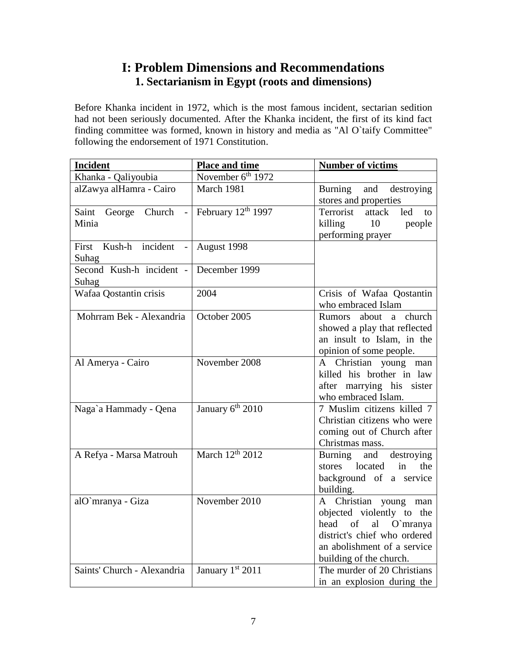# **I: Problem Dimensions and Recommendations 1. Sectarianism in Egypt (roots and dimensions)**

Before Khanka incident in 1972, which is the most famous incident, sectarian sedition had not been seriously documented. After the Khanka incident, the first of its kind fact finding committee was formed, known in history and media as "Al O`taify Committee" following the endorsement of 1971 Constitution.

| <b>Incident</b>             | <b>Place and time</b>         | <b>Number of victims</b>                               |
|-----------------------------|-------------------------------|--------------------------------------------------------|
| Khanka - Qaliyoubia         | November 6 <sup>th</sup> 1972 |                                                        |
| alZawya alHamra - Cairo     | March 1981                    | Burning<br>and destroying                              |
|                             |                               | stores and properties                                  |
| Saint George Church         | February 12th 1997            | Terrorist<br>attack<br>led<br>to                       |
| Minia                       |                               | killing 10<br>people                                   |
|                             |                               | performing prayer                                      |
| Kush-h incident<br>First    | August 1998                   |                                                        |
| Suhag                       |                               |                                                        |
| Second Kush-h incident -    | December 1999                 |                                                        |
| Suhag                       |                               |                                                        |
| Wafaa Qostantin crisis      | 2004                          | Crisis of Wafaa Qostantin                              |
|                             |                               | who embraced Islam                                     |
| Mohrram Bek - Alexandria    | October 2005                  | about a church<br>Rumors                               |
|                             |                               | showed a play that reflected                           |
|                             |                               | an insult to Islam, in the                             |
|                             |                               | opinion of some people.                                |
| Al Amerya - Cairo           | November 2008                 | A Christian young man                                  |
|                             |                               | killed his brother in law                              |
|                             |                               | after marrying his sister                              |
|                             |                               | who embraced Islam.                                    |
| Naga`a Hammady - Qena       | January 6 <sup>th</sup> 2010  | 7 Muslim citizens killed 7                             |
|                             |                               | Christian citizens who were                            |
|                             |                               | coming out of Church after                             |
|                             |                               | Christmas mass.                                        |
| A Refya - Marsa Matrouh     | March 12 <sup>th</sup> 2012   | Burning and<br>destroying                              |
|                             |                               | located<br>in<br>the<br>stores                         |
|                             |                               | background of a service                                |
|                             | November 2010                 | building.                                              |
| alO`mranya - Giza           |                               | A Christian young man                                  |
|                             |                               | objected violently to the<br>of<br>al O`mranya<br>head |
|                             |                               | district's chief who ordered                           |
|                             |                               | an abolishment of a service                            |
|                             |                               | building of the church.                                |
| Saints' Church - Alexandria | January 1st 2011              | The murder of 20 Christians                            |
|                             |                               | in an explosion during the                             |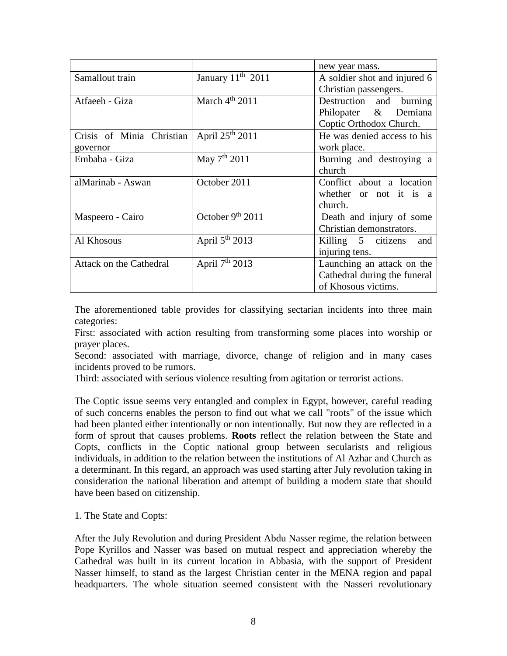|                           |                               | new year mass.               |
|---------------------------|-------------------------------|------------------------------|
| Samallout train           | January 11 <sup>th</sup> 2011 | A soldier shot and injured 6 |
|                           |                               | Christian passengers.        |
| Atfaeeh - Giza            | March $4th$ 2011              | Destruction and burning      |
|                           |                               | Philopater & Demiana         |
|                           |                               | Coptic Orthodox Church.      |
| Crisis of Minia Christian | April $25th 2011$             | He was denied access to his  |
| governor                  |                               | work place.                  |
| Embaba - Giza             | May $7th 2011$                | Burning and destroying a     |
|                           |                               | church                       |
| alMarinab - Aswan         | October 2011                  | Conflict about a location    |
|                           |                               | whether or not it is a       |
|                           |                               | church.                      |
| Maspeero - Cairo          | October $9th 2011$            | Death and injury of some     |
|                           |                               | Christian demonstrators.     |
| Al Khosous                | April $5th$ 2013              | Killing 5 citizens<br>and    |
|                           |                               | injuring tens.               |
| Attack on the Cathedral   | April $7th 2013$              | Launching an attack on the   |
|                           |                               | Cathedral during the funeral |
|                           |                               | of Khosous victims.          |

The aforementioned table provides for classifying sectarian incidents into three main categories:

First: associated with action resulting from transforming some places into worship or prayer places.

Second: associated with marriage, divorce, change of religion and in many cases incidents proved to be rumors.

Third: associated with serious violence resulting from agitation or terrorist actions.

The Coptic issue seems very entangled and complex in Egypt, however, careful reading of such concerns enables the person to find out what we call "roots" of the issue which had been planted either intentionally or non intentionally. But now they are reflected in a form of sprout that causes problems. **Roots** reflect the relation between the State and Copts, conflicts in the Coptic national group between secularists and religious individuals, in addition to the relation between the institutions of Al Azhar and Church as a determinant. In this regard, an approach was used starting after July revolution taking in consideration the national liberation and attempt of building a modern state that should have been based on citizenship.

1. The State and Copts:

After the July Revolution and during President Abdu Nasser regime, the relation between Pope Kyrillos and Nasser was based on mutual respect and appreciation whereby the Cathedral was built in its current location in Abbasia, with the support of President Nasser himself, to stand as the largest Christian center in the MENA region and papal headquarters. The whole situation seemed consistent with the Nasseri revolutionary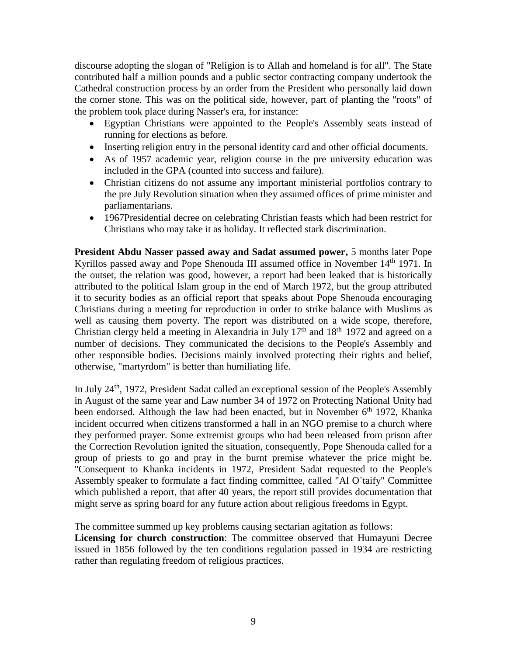discourse adopting the slogan of "Religion is to Allah and homeland is for all". The State contributed half a million pounds and a public sector contracting company undertook the Cathedral construction process by an order from the President who personally laid down the corner stone. This was on the political side, however, part of planting the "roots" of the problem took place during Nasser's era, for instance:

- Egyptian Christians were appointed to the People's Assembly seats instead of running for elections as before.
- Inserting religion entry in the personal identity card and other official documents.
- As of 1957 academic year, religion course in the pre university education was included in the GPA (counted into success and failure).
- Christian citizens do not assume any important ministerial portfolios contrary to the pre July Revolution situation when they assumed offices of prime minister and parliamentarians.
- 1967Presidential decree on celebrating Christian feasts which had been restrict for Christians who may take it as holiday. It reflected stark discrimination.

**President Abdu Nasser passed away and Sadat assumed power,** 5 months later Pope Kyrillos passed away and Pope Shenouda III assumed office in November 14<sup>th</sup> 1971. In the outset, the relation was good, however, a report had been leaked that is historically attributed to the political Islam group in the end of March 1972, but the group attributed it to security bodies as an official report that speaks about Pope Shenouda encouraging Christians during a meeting for reproduction in order to strike balance with Muslims as well as causing them poverty. The report was distributed on a wide scope, therefore, Christian clergy held a meeting in Alexandria in July  $17<sup>th</sup>$  and  $18<sup>th</sup>$  1972 and agreed on a number of decisions. They communicated the decisions to the People's Assembly and other responsible bodies. Decisions mainly involved protecting their rights and belief, otherwise, "martyrdom" is better than humiliating life.

In July 24<sup>th</sup>, 1972, President Sadat called an exceptional session of the People's Assembly in August of the same year and Law number 34 of 1972 on Protecting National Unity had been endorsed. Although the law had been enacted, but in November 6<sup>th</sup> 1972, Khanka incident occurred when citizens transformed a hall in an NGO premise to a church where they performed prayer. Some extremist groups who had been released from prison after the Correction Revolution ignited the situation, consequently, Pope Shenouda called for a group of priests to go and pray in the burnt premise whatever the price might be. "Consequent to Khanka incidents in 1972, President Sadat requested to the People's Assembly speaker to formulate a fact finding committee, called "Al O`taify" Committee which published a report, that after 40 years, the report still provides documentation that might serve as spring board for any future action about religious freedoms in Egypt.

The committee summed up key problems causing sectarian agitation as follows:

**Licensing for church construction**: The committee observed that Humayuni Decree issued in 1856 followed by the ten conditions regulation passed in 1934 are restricting rather than regulating freedom of religious practices.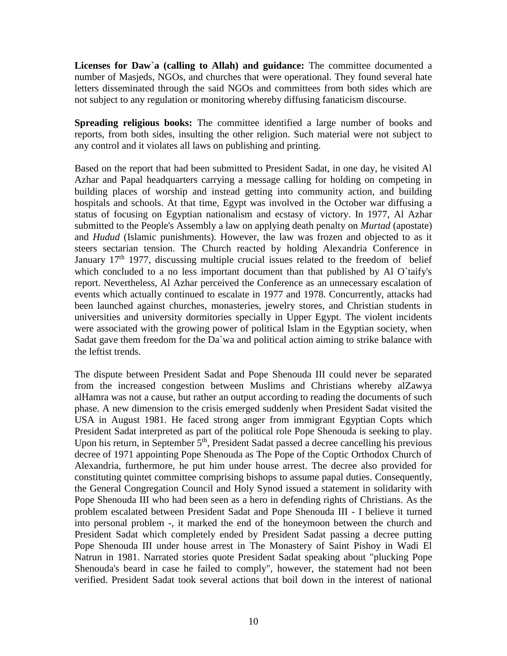**Licenses for Daw`a (calling to Allah) and guidance:** The committee documented a number of Masjeds, NGOs, and churches that were operational. They found several hate letters disseminated through the said NGOs and committees from both sides which are not subject to any regulation or monitoring whereby diffusing fanaticism discourse.

**Spreading religious books:** The committee identified a large number of books and reports, from both sides, insulting the other religion. Such material were not subject to any control and it violates all laws on publishing and printing.

Based on the report that had been submitted to President Sadat, in one day, he visited Al Azhar and Papal headquarters carrying a message calling for holding on competing in building places of worship and instead getting into community action, and building hospitals and schools. At that time, Egypt was involved in the October war diffusing a status of focusing on Egyptian nationalism and ecstasy of victory. In 1977, Al Azhar submitted to the People's Assembly a law on applying death penalty on *Murtad* (apostate) and *Hudud* (Islamic punishments). However, the law was frozen and objected to as it steers sectarian tension. The Church reacted by holding Alexandria Conference in January  $17<sup>th</sup>$  1977, discussing multiple crucial issues related to the freedom of belief which concluded to a no less important document than that published by Al O`taify's report. Nevertheless, Al Azhar perceived the Conference as an unnecessary escalation of events which actually continued to escalate in 1977 and 1978. Concurrently, attacks had been launched against churches, monasteries, jewelry stores, and Christian students in universities and university dormitories specially in Upper Egypt. The violent incidents were associated with the growing power of political Islam in the Egyptian society, when Sadat gave them freedom for the Da`wa and political action aiming to strike balance with the leftist trends.

The dispute between President Sadat and Pope Shenouda III could never be separated from the increased congestion between Muslims and Christians whereby alZawya alHamra was not a cause, but rather an output according to reading the documents of such phase. A new dimension to the crisis emerged suddenly when President Sadat visited the USA in August 1981. He faced strong anger from immigrant Egyptian Copts which President Sadat interpreted as part of the political role Pope Shenouda is seeking to play. Upon his return, in September 5<sup>th</sup>, President Sadat passed a decree cancelling his previous decree of 1971 appointing Pope Shenouda as The Pope of the Coptic Orthodox Church of Alexandria, furthermore, he put him under house arrest. The decree also provided for constituting quintet committee comprising bishops to assume papal duties. Consequently, the General Congregation Council and Holy Synod issued a statement in solidarity with Pope Shenouda III who had been seen as a hero in defending rights of Christians. As the problem escalated between President Sadat and Pope Shenouda III - I believe it turned into personal problem -, it marked the end of the honeymoon between the church and President Sadat which completely ended by President Sadat passing a decree putting Pope Shenouda III under house arrest in The Monastery of Saint Pishoy in Wadi El Natrun in 1981. Narrated stories quote President Sadat speaking about "plucking Pope Shenouda's beard in case he failed to comply", however, the statement had not been verified. President Sadat took several actions that boil down in the interest of national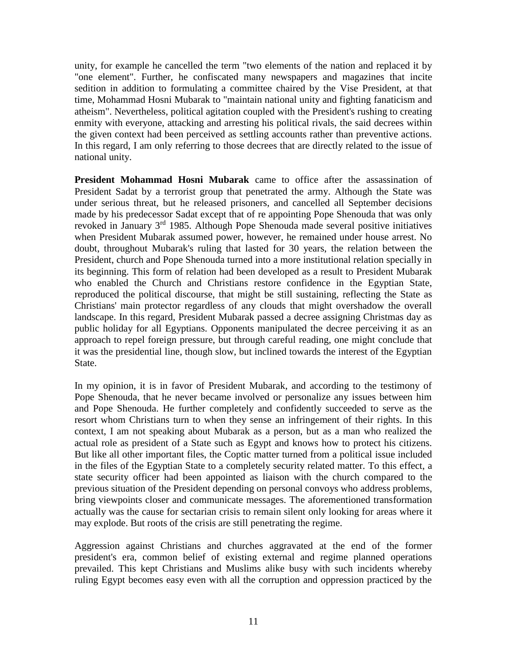unity, for example he cancelled the term "two elements of the nation and replaced it by "one element". Further, he confiscated many newspapers and magazines that incite sedition in addition to formulating a committee chaired by the Vise President, at that time, Mohammad Hosni Mubarak to "maintain national unity and fighting fanaticism and atheism". Nevertheless, political agitation coupled with the President's rushing to creating enmity with everyone, attacking and arresting his political rivals, the said decrees within the given context had been perceived as settling accounts rather than preventive actions. In this regard, I am only referring to those decrees that are directly related to the issue of national unity.

**President Mohammad Hosni Mubarak** came to office after the assassination of President Sadat by a terrorist group that penetrated the army. Although the State was under serious threat, but he released prisoners, and cancelled all September decisions made by his predecessor Sadat except that of re appointing Pope Shenouda that was only revoked in January 3rd 1985. Although Pope Shenouda made several positive initiatives when President Mubarak assumed power, however, he remained under house arrest. No doubt, throughout Mubarak's ruling that lasted for 30 years, the relation between the President, church and Pope Shenouda turned into a more institutional relation specially in its beginning. This form of relation had been developed as a result to President Mubarak who enabled the Church and Christians restore confidence in the Egyptian State, reproduced the political discourse, that might be still sustaining, reflecting the State as Christians' main protector regardless of any clouds that might overshadow the overall landscape. In this regard, President Mubarak passed a decree assigning Christmas day as public holiday for all Egyptians. Opponents manipulated the decree perceiving it as an approach to repel foreign pressure, but through careful reading, one might conclude that it was the presidential line, though slow, but inclined towards the interest of the Egyptian State.

In my opinion, it is in favor of President Mubarak, and according to the testimony of Pope Shenouda, that he never became involved or personalize any issues between him and Pope Shenouda. He further completely and confidently succeeded to serve as the resort whom Christians turn to when they sense an infringement of their rights. In this context, I am not speaking about Mubarak as a person, but as a man who realized the actual role as president of a State such as Egypt and knows how to protect his citizens. But like all other important files, the Coptic matter turned from a political issue included in the files of the Egyptian State to a completely security related matter. To this effect, a state security officer had been appointed as liaison with the church compared to the previous situation of the President depending on personal convoys who address problems, bring viewpoints closer and communicate messages. The aforementioned transformation actually was the cause for sectarian crisis to remain silent only looking for areas where it may explode. But roots of the crisis are still penetrating the regime.

Aggression against Christians and churches aggravated at the end of the former president's era, common belief of existing external and regime planned operations prevailed. This kept Christians and Muslims alike busy with such incidents whereby ruling Egypt becomes easy even with all the corruption and oppression practiced by the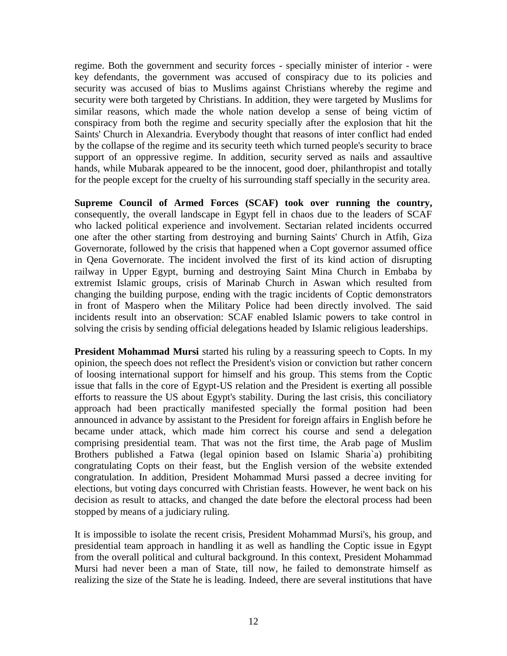regime. Both the government and security forces - specially minister of interior - were key defendants, the government was accused of conspiracy due to its policies and security was accused of bias to Muslims against Christians whereby the regime and security were both targeted by Christians. In addition, they were targeted by Muslims for similar reasons, which made the whole nation develop a sense of being victim of conspiracy from both the regime and security specially after the explosion that hit the Saints' Church in Alexandria. Everybody thought that reasons of inter conflict had ended by the collapse of the regime and its security teeth which turned people's security to brace support of an oppressive regime. In addition, security served as nails and assaultive hands, while Mubarak appeared to be the innocent, good doer, philanthropist and totally for the people except for the cruelty of his surrounding staff specially in the security area.

**Supreme Council of Armed Forces (SCAF) took over running the country,** consequently, the overall landscape in Egypt fell in chaos due to the leaders of SCAF who lacked political experience and involvement. Sectarian related incidents occurred one after the other starting from destroying and burning Saints' Church in Atfih, Giza Governorate, followed by the crisis that happened when a Copt governor assumed office in Qena Governorate. The incident involved the first of its kind action of disrupting railway in Upper Egypt, burning and destroying Saint Mina Church in Embaba by extremist Islamic groups, crisis of Marinab Church in Aswan which resulted from changing the building purpose, ending with the tragic incidents of Coptic demonstrators in front of Maspero when the Military Police had been directly involved. The said incidents result into an observation: SCAF enabled Islamic powers to take control in solving the crisis by sending official delegations headed by Islamic religious leaderships.

**President Mohammad Mursi** started his ruling by a reassuring speech to Copts. In my opinion, the speech does not reflect the President's vision or conviction but rather concern of loosing international support for himself and his group. This stems from the Coptic issue that falls in the core of Egypt-US relation and the President is exerting all possible efforts to reassure the US about Egypt's stability. During the last crisis, this conciliatory approach had been practically manifested specially the formal position had been announced in advance by assistant to the President for foreign affairs in English before he became under attack, which made him correct his course and send a delegation comprising presidential team. That was not the first time, the Arab page of Muslim Brothers published a Fatwa (legal opinion based on Islamic Sharia`a) prohibiting congratulating Copts on their feast, but the English version of the website extended congratulation. In addition, President Mohammad Mursi passed a decree inviting for elections, but voting days concurred with Christian feasts. However, he went back on his decision as result to attacks, and changed the date before the electoral process had been stopped by means of a judiciary ruling.

It is impossible to isolate the recent crisis, President Mohammad Mursi's, his group, and presidential team approach in handling it as well as handling the Coptic issue in Egypt from the overall political and cultural background. In this context, President Mohammad Mursi had never been a man of State, till now, he failed to demonstrate himself as realizing the size of the State he is leading. Indeed, there are several institutions that have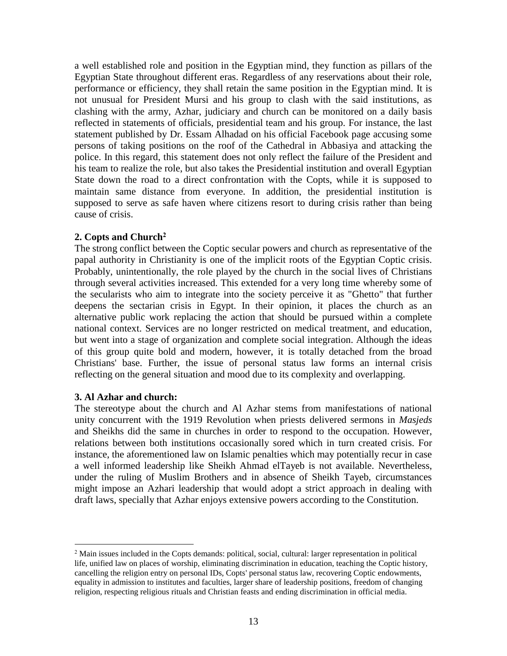a well established role and position in the Egyptian mind, they function as pillars of the Egyptian State throughout different eras. Regardless of any reservations about their role, performance or efficiency, they shall retain the same position in the Egyptian mind. It is not unusual for President Mursi and his group to clash with the said institutions, as clashing with the army, Azhar, judiciary and church can be monitored on a daily basis reflected in statements of officials, presidential team and his group. For instance, the last statement published by Dr. Essam Alhadad on his official Facebook page accusing some persons of taking positions on the roof of the Cathedral in Abbasiya and attacking the police. In this regard, this statement does not only reflect the failure of the President and his team to realize the role, but also takes the Presidential institution and overall Egyptian State down the road to a direct confrontation with the Copts, while it is supposed to maintain same distance from everyone. In addition, the presidential institution is supposed to serve as safe haven where citizens resort to during crisis rather than being cause of crisis.

### **2. Copts and Church<sup>2</sup>**

The strong conflict between the Coptic secular powers and church as representative of the papal authority in Christianity is one of the implicit roots of the Egyptian Coptic crisis. Probably, unintentionally, the role played by the church in the social lives of Christians through several activities increased. This extended for a very long time whereby some of the secularists who aim to integrate into the society perceive it as "Ghetto" that further deepens the sectarian crisis in Egypt. In their opinion, it places the church as an alternative public work replacing the action that should be pursued within a complete national context. Services are no longer restricted on medical treatment, and education, but went into a stage of organization and complete social integration. Although the ideas of this group quite bold and modern, however, it is totally detached from the broad Christians' base. Further, the issue of personal status law forms an internal crisis reflecting on the general situation and mood due to its complexity and overlapping.

### **3. Al Azhar and church:**

 $\overline{a}$ 

The stereotype about the church and Al Azhar stems from manifestations of national unity concurrent with the 1919 Revolution when priests delivered sermons in *Masjeds*  and Sheikhs did the same in churches in order to respond to the occupation. However, relations between both institutions occasionally sored which in turn created crisis. For instance, the aforementioned law on Islamic penalties which may potentially recur in case a well informed leadership like Sheikh Ahmad elTayeb is not available. Nevertheless, under the ruling of Muslim Brothers and in absence of Sheikh Tayeb, circumstances might impose an Azhari leadership that would adopt a strict approach in dealing with draft laws, specially that Azhar enjoys extensive powers according to the Constitution.

 $<sup>2</sup>$  Main issues included in the Copts demands: political, social, cultural: larger representation in political</sup> life, unified law on places of worship, eliminating discrimination in education, teaching the Coptic history, cancelling the religion entry on personal IDs, Copts' personal status law, recovering Coptic endowments, equality in admission to institutes and faculties, larger share of leadership positions, freedom of changing religion, respecting religious rituals and Christian feasts and ending discrimination in official media.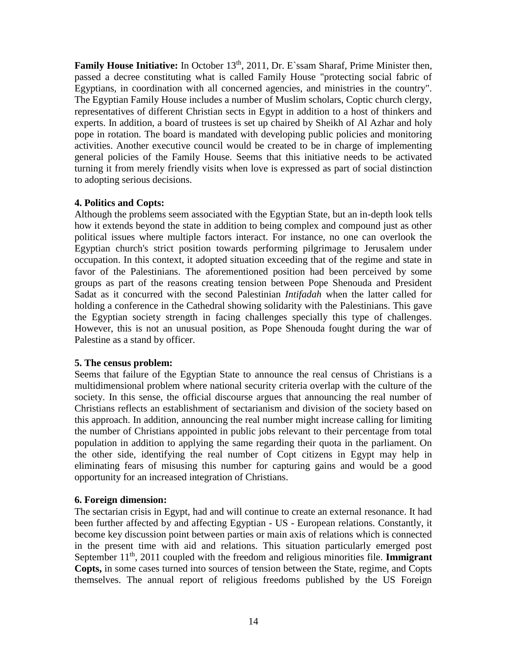**Family House Initiative:** In October 13<sup>th</sup>, 2011, Dr. E`ssam Sharaf, Prime Minister then, passed a decree constituting what is called Family House "protecting social fabric of Egyptians, in coordination with all concerned agencies, and ministries in the country". The Egyptian Family House includes a number of Muslim scholars, Coptic church clergy, representatives of different Christian sects in Egypt in addition to a host of thinkers and experts. In addition, a board of trustees is set up chaired by Sheikh of Al Azhar and holy pope in rotation. The board is mandated with developing public policies and monitoring activities. Another executive council would be created to be in charge of implementing general policies of the Family House. Seems that this initiative needs to be activated turning it from merely friendly visits when love is expressed as part of social distinction to adopting serious decisions.

## **4. Politics and Copts:**

Although the problems seem associated with the Egyptian State, but an in-depth look tells how it extends beyond the state in addition to being complex and compound just as other political issues where multiple factors interact. For instance, no one can overlook the Egyptian church's strict position towards performing pilgrimage to Jerusalem under occupation. In this context, it adopted situation exceeding that of the regime and state in favor of the Palestinians. The aforementioned position had been perceived by some groups as part of the reasons creating tension between Pope Shenouda and President Sadat as it concurred with the second Palestinian *Intifadah* when the latter called for holding a conference in the Cathedral showing solidarity with the Palestinians. This gave the Egyptian society strength in facing challenges specially this type of challenges. However, this is not an unusual position, as Pope Shenouda fought during the war of Palestine as a stand by officer.

### **5. The census problem:**

Seems that failure of the Egyptian State to announce the real census of Christians is a multidimensional problem where national security criteria overlap with the culture of the society. In this sense, the official discourse argues that announcing the real number of Christians reflects an establishment of sectarianism and division of the society based on this approach. In addition, announcing the real number might increase calling for limiting the number of Christians appointed in public jobs relevant to their percentage from total population in addition to applying the same regarding their quota in the parliament. On the other side, identifying the real number of Copt citizens in Egypt may help in eliminating fears of misusing this number for capturing gains and would be a good opportunity for an increased integration of Christians.

## **6. Foreign dimension:**

The sectarian crisis in Egypt, had and will continue to create an external resonance. It had been further affected by and affecting Egyptian - US - European relations. Constantly, it become key discussion point between parties or main axis of relations which is connected in the present time with aid and relations. This situation particularly emerged post September 11<sup>th</sup>, 2011 coupled with the freedom and religious minorities file. **Immigrant Copts,** in some cases turned into sources of tension between the State, regime, and Copts themselves. The annual report of religious freedoms published by the US Foreign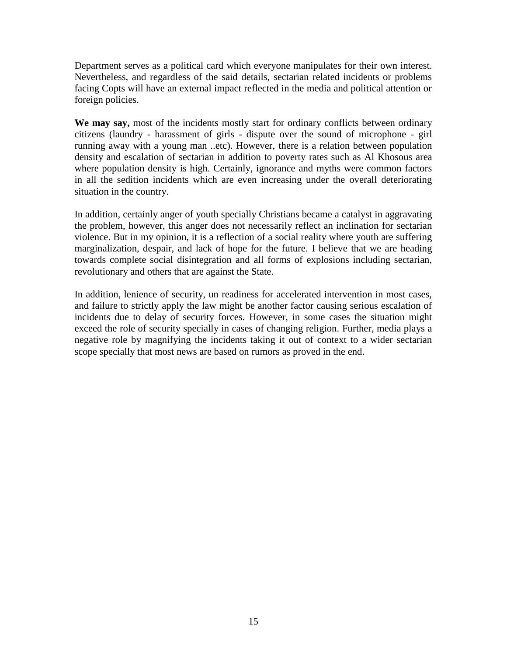Department serves as a political card which everyone manipulates for their own interest. Nevertheless, and regardless of the said details, sectarian related incidents or problems facing Copts will have an external impact reflected in the media and political attention or foreign policies.

**We may say,** most of the incidents mostly start for ordinary conflicts between ordinary citizens (laundry - harassment of girls - dispute over the sound of microphone - girl running away with a young man ..etc). However, there is a relation between population density and escalation of sectarian in addition to poverty rates such as Al Khosous area where population density is high. Certainly, ignorance and myths were common factors in all the sedition incidents which are even increasing under the overall deteriorating situation in the country.

In addition, certainly anger of youth specially Christians became a catalyst in aggravating the problem, however, this anger does not necessarily reflect an inclination for sectarian violence. But in my opinion, it is a reflection of a social reality where youth are suffering marginalization, despair, and lack of hope for the future. I believe that we are heading towards complete social disintegration and all forms of explosions including sectarian, revolutionary and others that are against the State.

In addition, lenience of security, un readiness for accelerated intervention in most cases, and failure to strictly apply the law might be another factor causing serious escalation of incidents due to delay of security forces. However, in some cases the situation might exceed the role of security specially in cases of changing religion. Further, media plays a negative role by magnifying the incidents taking it out of context to a wider sectarian scope specially that most news are based on rumors as proved in the end.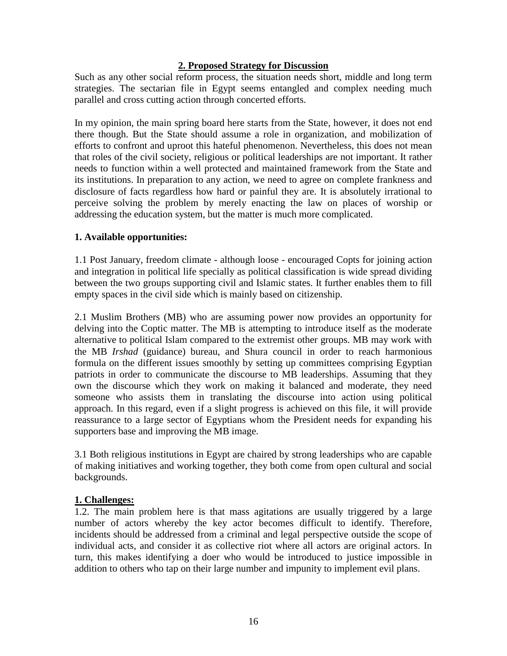## **2. Proposed Strategy for Discussion**

Such as any other social reform process, the situation needs short, middle and long term strategies. The sectarian file in Egypt seems entangled and complex needing much parallel and cross cutting action through concerted efforts.

In my opinion, the main spring board here starts from the State, however, it does not end there though. But the State should assume a role in organization, and mobilization of efforts to confront and uproot this hateful phenomenon. Nevertheless, this does not mean that roles of the civil society, religious or political leaderships are not important. It rather needs to function within a well protected and maintained framework from the State and its institutions. In preparation to any action, we need to agree on complete frankness and disclosure of facts regardless how hard or painful they are. It is absolutely irrational to perceive solving the problem by merely enacting the law on places of worship or addressing the education system, but the matter is much more complicated.

## **1. Available opportunities:**

1.1 Post January, freedom climate - although loose - encouraged Copts for joining action and integration in political life specially as political classification is wide spread dividing between the two groups supporting civil and Islamic states. It further enables them to fill empty spaces in the civil side which is mainly based on citizenship.

2.1 Muslim Brothers (MB) who are assuming power now provides an opportunity for delving into the Coptic matter. The MB is attempting to introduce itself as the moderate alternative to political Islam compared to the extremist other groups. MB may work with the MB *Irshad* (guidance) bureau, and Shura council in order to reach harmonious formula on the different issues smoothly by setting up committees comprising Egyptian patriots in order to communicate the discourse to MB leaderships. Assuming that they own the discourse which they work on making it balanced and moderate, they need someone who assists them in translating the discourse into action using political approach. In this regard, even if a slight progress is achieved on this file, it will provide reassurance to a large sector of Egyptians whom the President needs for expanding his supporters base and improving the MB image.

3.1 Both religious institutions in Egypt are chaired by strong leaderships who are capable of making initiatives and working together, they both come from open cultural and social backgrounds.

## **1. Challenges:**

1.2. The main problem here is that mass agitations are usually triggered by a large number of actors whereby the key actor becomes difficult to identify. Therefore, incidents should be addressed from a criminal and legal perspective outside the scope of individual acts, and consider it as collective riot where all actors are original actors. In turn, this makes identifying a doer who would be introduced to justice impossible in addition to others who tap on their large number and impunity to implement evil plans.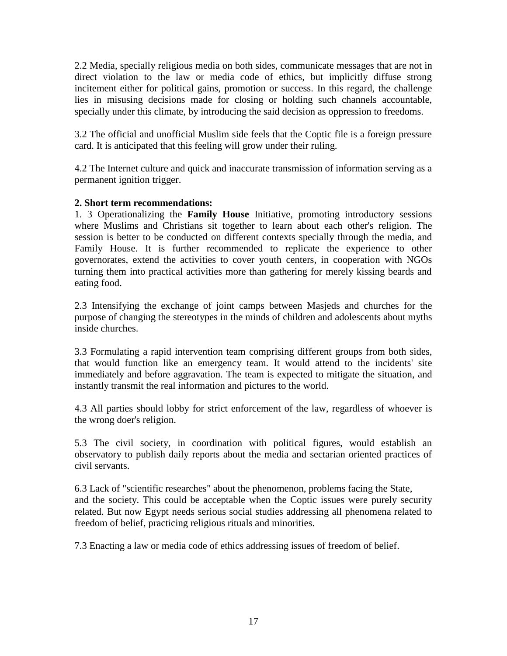2.2 Media, specially religious media on both sides, communicate messages that are not in direct violation to the law or media code of ethics, but implicitly diffuse strong incitement either for political gains, promotion or success. In this regard, the challenge lies in misusing decisions made for closing or holding such channels accountable, specially under this climate, by introducing the said decision as oppression to freedoms.

3.2 The official and unofficial Muslim side feels that the Coptic file is a foreign pressure card. It is anticipated that this feeling will grow under their ruling.

4.2 The Internet culture and quick and inaccurate transmission of information serving as a permanent ignition trigger.

## **2. Short term recommendations:**

1. 3 Operationalizing the **Family House** Initiative, promoting introductory sessions where Muslims and Christians sit together to learn about each other's religion. The session is better to be conducted on different contexts specially through the media, and Family House. It is further recommended to replicate the experience to other governorates, extend the activities to cover youth centers, in cooperation with NGOs turning them into practical activities more than gathering for merely kissing beards and eating food.

2.3 Intensifying the exchange of joint camps between Masjeds and churches for the purpose of changing the stereotypes in the minds of children and adolescents about myths inside churches.

3.3 Formulating a rapid intervention team comprising different groups from both sides, that would function like an emergency team. It would attend to the incidents' site immediately and before aggravation. The team is expected to mitigate the situation, and instantly transmit the real information and pictures to the world.

4.3 All parties should lobby for strict enforcement of the law, regardless of whoever is the wrong doer's religion.

5.3 The civil society, in coordination with political figures, would establish an observatory to publish daily reports about the media and sectarian oriented practices of civil servants.

6.3 Lack of "scientific researches" about the phenomenon, problems facing the State, and the society. This could be acceptable when the Coptic issues were purely security related. But now Egypt needs serious social studies addressing all phenomena related to freedom of belief, practicing religious rituals and minorities.

7.3 Enacting a law or media code of ethics addressing issues of freedom of belief.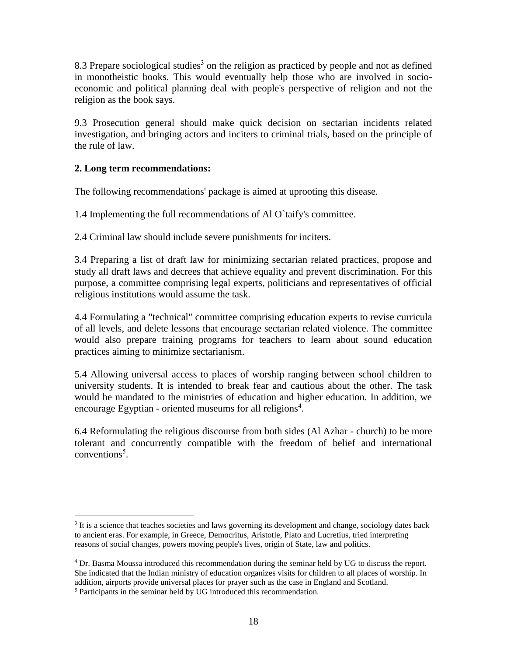8.3 Prepare sociological studies<sup>3</sup> on the religion as practiced by people and not as defined in monotheistic books. This would eventually help those who are involved in socioeconomic and political planning deal with people's perspective of religion and not the religion as the book says.

9.3 Prosecution general should make quick decision on sectarian incidents related investigation, and bringing actors and inciters to criminal trials, based on the principle of the rule of law.

## **2. Long term recommendations:**

 $\overline{a}$ 

The following recommendations' package is aimed at uprooting this disease.

1.4 Implementing the full recommendations of Al O`taify's committee.

2.4 Criminal law should include severe punishments for inciters.

3.4 Preparing a list of draft law for minimizing sectarian related practices, propose and study all draft laws and decrees that achieve equality and prevent discrimination. For this purpose, a committee comprising legal experts, politicians and representatives of official religious institutions would assume the task.

4.4 Formulating a "technical" committee comprising education experts to revise curricula of all levels, and delete lessons that encourage sectarian related violence. The committee would also prepare training programs for teachers to learn about sound education practices aiming to minimize sectarianism.

5.4 Allowing universal access to places of worship ranging between school children to university students. It is intended to break fear and cautious about the other. The task would be mandated to the ministries of education and higher education. In addition, we encourage Egyptian - oriented museums for all religions<sup>4</sup>.

6.4 Reformulating the religious discourse from both sides (Al Azhar - church) to be more tolerant and concurrently compatible with the freedom of belief and international conventions<sup>5</sup>.

<sup>&</sup>lt;sup>3</sup> It is a science that teaches societies and laws governing its development and change, sociology dates back to ancient eras. For example, in Greece, Democritus, Aristotle, Plato and Lucretius, tried interpreting reasons of social changes, powers moving people's lives, origin of State, law and politics.

<sup>4</sup> Dr. Basma Moussa introduced this recommendation during the seminar held by UG to discuss the report. She indicated that the Indian ministry of education organizes visits for children to all places of worship. In addition, airports provide universal places for prayer such as the case in England and Scotland. <sup>5</sup> Participants in the seminar held by UG introduced this recommendation.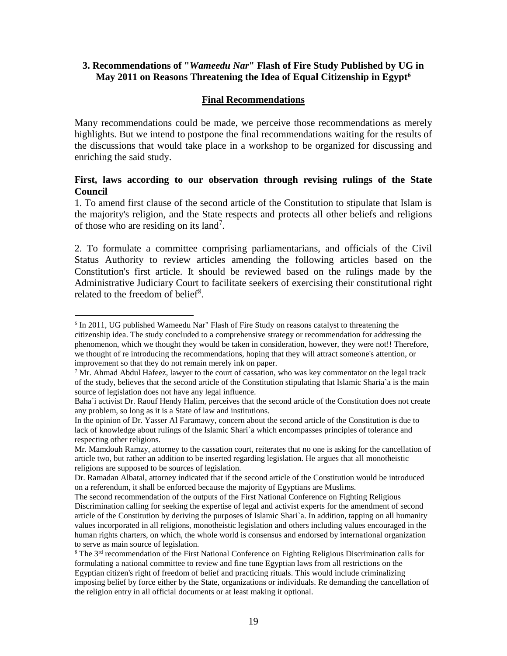## **3. Recommendations of "***Wameedu Nar***" Flash of Fire Study Published by UG in May 2011 on Reasons Threatening the Idea of Equal Citizenship in Egypt<sup>6</sup>**

## **Final Recommendations**

Many recommendations could be made, we perceive those recommendations as merely highlights. But we intend to postpone the final recommendations waiting for the results of the discussions that would take place in a workshop to be organized for discussing and enriching the said study.

## **First, laws according to our observation through revising rulings of the State Council**

1. To amend first clause of the second article of the Constitution to stipulate that Islam is the majority's religion, and the State respects and protects all other beliefs and religions of those who are residing on its land<sup>7</sup>.

2. To formulate a committee comprising parliamentarians, and officials of the Civil Status Authority to review articles amending the following articles based on the Constitution's first article. It should be reviewed based on the rulings made by the Administrative Judiciary Court to facilitate seekers of exercising their constitutional right related to the freedom of belief<sup>8</sup>.

<sup>&</sup>lt;sup>6</sup> In 2011, UG published Wameedu Nar" Flash of Fire Study on reasons catalyst to threatening the citizenship idea. The study concluded to a comprehensive strategy or recommendation for addressing the phenomenon, which we thought they would be taken in consideration, however, they were not!! Therefore, we thought of re introducing the recommendations, hoping that they will attract someone's attention, or improvement so that they do not remain merely ink on paper.

 $7$  Mr. Ahmad Abdul Hafeez, lawyer to the court of cassation, who was key commentator on the legal track of the study, believes that the second article of the Constitution stipulating that Islamic Sharia`a is the main source of legislation does not have any legal influence.

Baha`i activist Dr. Raouf Hendy Halim, perceives that the second article of the Constitution does not create any problem, so long as it is a State of law and institutions.

In the opinion of Dr. Yasser Al Faramawy, concern about the second article of the Constitution is due to lack of knowledge about rulings of the Islamic Shari`a which encompasses principles of tolerance and respecting other religions.

Mr. Mamdouh Ramzy, attorney to the cassation court, reiterates that no one is asking for the cancellation of article two, but rather an addition to be inserted regarding legislation. He argues that all monotheistic religions are supposed to be sources of legislation.

Dr. Ramadan Albatal, attorney indicated that if the second article of the Constitution would be introduced on a referendum, it shall be enforced because the majority of Egyptians are Muslims.

The second recommendation of the outputs of the First National Conference on Fighting Religious Discrimination calling for seeking the expertise of legal and activist experts for the amendment of second article of the Constitution by deriving the purposes of Islamic Shari`a. In addition, tapping on all humanity values incorporated in all religions, monotheistic legislation and others including values encouraged in the human rights charters, on which, the whole world is consensus and endorsed by international organization to serve as main source of legislation.

<sup>8</sup> The 3rd recommendation of the First National Conference on Fighting Religious Discrimination calls for formulating a national committee to review and fine tune Egyptian laws from all restrictions on the Egyptian citizen's right of freedom of belief and practicing rituals. This would include criminalizing imposing belief by force either by the State, organizations or individuals. Re demanding the cancellation of the religion entry in all official documents or at least making it optional.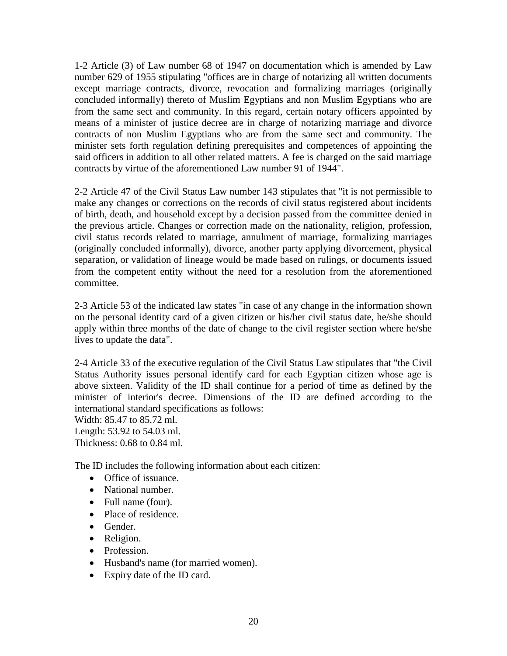1-2 Article (3) of Law number 68 of 1947 on documentation which is amended by Law number 629 of 1955 stipulating "offices are in charge of notarizing all written documents except marriage contracts, divorce, revocation and formalizing marriages (originally concluded informally) thereto of Muslim Egyptians and non Muslim Egyptians who are from the same sect and community. In this regard, certain notary officers appointed by means of a minister of justice decree are in charge of notarizing marriage and divorce contracts of non Muslim Egyptians who are from the same sect and community. The minister sets forth regulation defining prerequisites and competences of appointing the said officers in addition to all other related matters. A fee is charged on the said marriage contracts by virtue of the aforementioned Law number 91 of 1944".

2-2 Article 47 of the Civil Status Law number 143 stipulates that "it is not permissible to make any changes or corrections on the records of civil status registered about incidents of birth, death, and household except by a decision passed from the committee denied in the previous article. Changes or correction made on the nationality, religion, profession, civil status records related to marriage, annulment of marriage, formalizing marriages (originally concluded informally), divorce, another party applying divorcement, physical separation, or validation of lineage would be made based on rulings, or documents issued from the competent entity without the need for a resolution from the aforementioned committee.

2-3 Article 53 of the indicated law states "in case of any change in the information shown on the personal identity card of a given citizen or his/her civil status date, he/she should apply within three months of the date of change to the civil register section where he/she lives to update the data".

2-4 Article 33 of the executive regulation of the Civil Status Law stipulates that "the Civil Status Authority issues personal identify card for each Egyptian citizen whose age is above sixteen. Validity of the ID shall continue for a period of time as defined by the minister of interior's decree. Dimensions of the ID are defined according to the international standard specifications as follows:

Width: 85.47 to 85.72 ml. Length: 53.92 to 54.03 ml.

Thickness: 0.68 to 0.84 ml.

The ID includes the following information about each citizen:

- Office of issuance.
- National number.
- Full name (four).
- Place of residence.
- Gender.
- Religion.
- Profession.
- Husband's name (for married women).
- Expiry date of the ID card.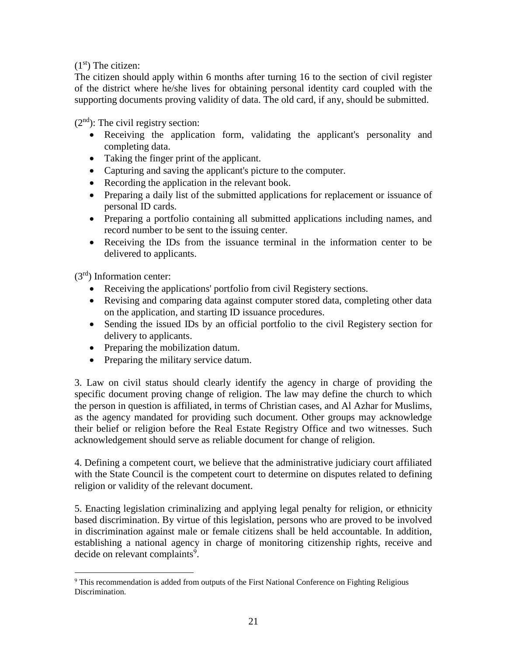## $(1<sup>st</sup>)$  The citizen:

The citizen should apply within 6 months after turning 16 to the section of civil register of the district where he/she lives for obtaining personal identity card coupled with the supporting documents proving validity of data. The old card, if any, should be submitted.

 $(2<sup>nd</sup>)$ : The civil registry section:

- Receiving the application form, validating the applicant's personality and completing data.
- Taking the finger print of the applicant.
- Capturing and saving the applicant's picture to the computer.
- Recording the application in the relevant book.
- Preparing a daily list of the submitted applications for replacement or issuance of personal ID cards.
- Preparing a portfolio containing all submitted applications including names, and record number to be sent to the issuing center.
- Receiving the IDs from the issuance terminal in the information center to be delivered to applicants.

 $(3<sup>rd</sup>)$  Information center:

 $\overline{a}$ 

- Receiving the applications' portfolio from civil Registery sections.
- Revising and comparing data against computer stored data, completing other data on the application, and starting ID issuance procedures.
- Sending the issued IDs by an official portfolio to the civil Registery section for delivery to applicants.
- Preparing the mobilization datum.
- Preparing the military service datum.

3. Law on civil status should clearly identify the agency in charge of providing the specific document proving change of religion. The law may define the church to which the person in question is affiliated, in terms of Christian cases, and Al Azhar for Muslims, as the agency mandated for providing such document. Other groups may acknowledge their belief or religion before the Real Estate Registry Office and two witnesses. Such acknowledgement should serve as reliable document for change of religion.

4. Defining a competent court, we believe that the administrative judiciary court affiliated with the State Council is the competent court to determine on disputes related to defining religion or validity of the relevant document.

5. Enacting legislation criminalizing and applying legal penalty for religion, or ethnicity based discrimination. By virtue of this legislation, persons who are proved to be involved in discrimination against male or female citizens shall be held accountable. In addition, establishing a national agency in charge of monitoring citizenship rights, receive and decide on relevant complaints<sup>9</sup>.

<sup>&</sup>lt;sup>9</sup> This recommendation is added from outputs of the First National Conference on Fighting Religious Discrimination.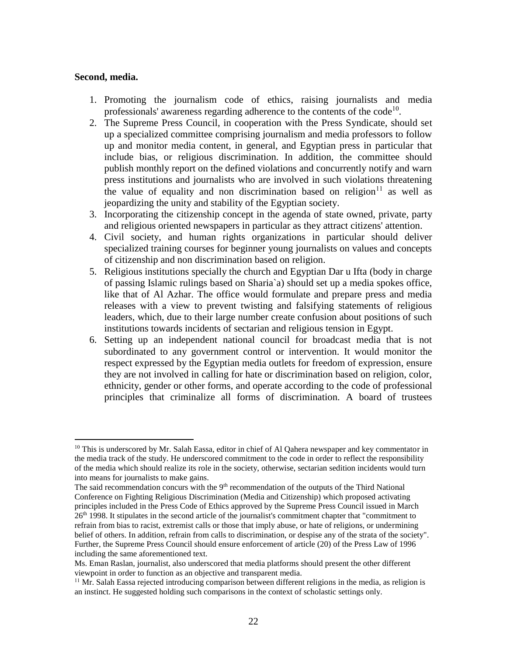#### **Second, media.**

- 1. Promoting the journalism code of ethics, raising journalists and media professionals' awareness regarding adherence to the contents of the code<sup>10</sup>.
- 2. The Supreme Press Council, in cooperation with the Press Syndicate, should set up a specialized committee comprising journalism and media professors to follow up and monitor media content, in general, and Egyptian press in particular that include bias, or religious discrimination. In addition, the committee should publish monthly report on the defined violations and concurrently notify and warn press institutions and journalists who are involved in such violations threatening the value of equality and non discrimination based on religion<sup>11</sup> as well as jeopardizing the unity and stability of the Egyptian society.
- 3. Incorporating the citizenship concept in the agenda of state owned, private, party and religious oriented newspapers in particular as they attract citizens' attention.
- 4. Civil society, and human rights organizations in particular should deliver specialized training courses for beginner young journalists on values and concepts of citizenship and non discrimination based on religion.
- 5. Religious institutions specially the church and Egyptian Dar u Ifta (body in charge of passing Islamic rulings based on Sharia`a) should set up a media spokes office, like that of Al Azhar. The office would formulate and prepare press and media releases with a view to prevent twisting and falsifying statements of religious leaders, which, due to their large number create confusion about positions of such institutions towards incidents of sectarian and religious tension in Egypt.
- 6. Setting up an independent national council for broadcast media that is not subordinated to any government control or intervention. It would monitor the respect expressed by the Egyptian media outlets for freedom of expression, ensure they are not involved in calling for hate or discrimination based on religion, color, ethnicity, gender or other forms, and operate according to the code of professional principles that criminalize all forms of discrimination. A board of trustees

 $10$  This is underscored by Mr. Salah Eassa, editor in chief of Al Qahera newspaper and key commentator in the media track of the study. He underscored commitment to the code in order to reflect the responsibility of the media which should realize its role in the society, otherwise, sectarian sedition incidents would turn into means for journalists to make gains.

The said recommendation concurs with the  $9<sup>th</sup>$  recommendation of the outputs of the Third National Conference on Fighting Religious Discrimination (Media and Citizenship) which proposed activating principles included in the Press Code of Ethics approved by the Supreme Press Council issued in March 26<sup>th</sup> 1998. It stipulates in the second article of the journalist's commitment chapter that "commitment to refrain from bias to racist, extremist calls or those that imply abuse, or hate of religions, or undermining belief of others. In addition, refrain from calls to discrimination, or despise any of the strata of the society". Further, the Supreme Press Council should ensure enforcement of article (20) of the Press Law of 1996 including the same aforementioned text.

Ms. Eman Raslan, journalist, also underscored that media platforms should present the other different viewpoint in order to function as an objective and transparent media.

 $11$  Mr. Salah Eassa rejected introducing comparison between different religions in the media, as religion is an instinct. He suggested holding such comparisons in the context of scholastic settings only.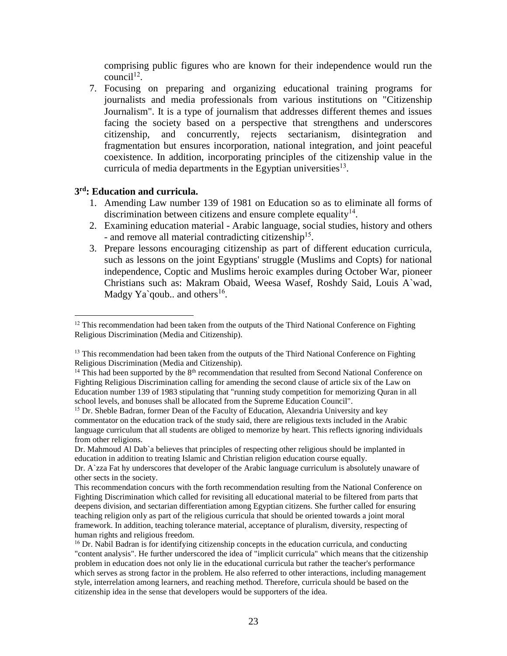comprising public figures who are known for their independence would run the  $\text{council}^{12}$ .

7. Focusing on preparing and organizing educational training programs for journalists and media professionals from various institutions on "Citizenship Journalism". It is a type of journalism that addresses different themes and issues facing the society based on a perspective that strengthens and underscores citizenship, and concurrently, rejects sectarianism, disintegration and fragmentation but ensures incorporation, national integration, and joint peaceful coexistence. In addition, incorporating principles of the citizenship value in the curricula of media departments in the Egyptian universities $^{13}$ .

#### **3 rd: Education and curricula.**

- 1. Amending Law number 139 of 1981 on Education so as to eliminate all forms of discrimination between citizens and ensure complete equality $14$ .
- 2. Examining education material Arabic language, social studies, history and others - and remove all material contradicting citizenship<sup>15</sup>.
- 3. Prepare lessons encouraging citizenship as part of different education curricula, such as lessons on the joint Egyptians' struggle (Muslims and Copts) for national independence, Coptic and Muslims heroic examples during October War, pioneer Christians such as: Makram Obaid, Weesa Wasef, Roshdy Said, Louis A`wad, Madgy Ya`qoub.. and others<sup>16</sup>.

<sup>&</sup>lt;sup>12</sup> This recommendation had been taken from the outputs of the Third National Conference on Fighting Religious Discrimination (Media and Citizenship).

<sup>&</sup>lt;sup>13</sup> This recommendation had been taken from the outputs of the Third National Conference on Fighting Religious Discrimination (Media and Citizenship).

 $14$  This had been supported by the  $8<sup>th</sup>$  recommendation that resulted from Second National Conference on Fighting Religious Discrimination calling for amending the second clause of article six of the Law on Education number 139 of 1983 stipulating that "running study competition for memorizing Quran in all school levels, and bonuses shall be allocated from the Supreme Education Council".

<sup>&</sup>lt;sup>15</sup> Dr. Sheble Badran, former Dean of the Faculty of Education, Alexandria University and key commentator on the education track of the study said, there are religious texts included in the Arabic language curriculum that all students are obliged to memorize by heart. This reflects ignoring individuals from other religions.

Dr. Mahmoud Al Dab`a believes that principles of respecting other religious should be implanted in education in addition to treating Islamic and Christian religion education course equally.

Dr. A`zza Fat hy underscores that developer of the Arabic language curriculum is absolutely unaware of other sects in the society.

This recommendation concurs with the forth recommendation resulting from the National Conference on Fighting Discrimination which called for revisiting all educational material to be filtered from parts that deepens division, and sectarian differentiation among Egyptian citizens. She further called for ensuring teaching religion only as part of the religious curricula that should be oriented towards a joint moral framework. In addition, teaching tolerance material, acceptance of pluralism, diversity, respecting of human rights and religious freedom.

<sup>&</sup>lt;sup>16</sup> Dr. Nabil Badran is for identifying citizenship concepts in the education curricula, and conducting "content analysis". He further underscored the idea of "implicit curricula" which means that the citizenship problem in education does not only lie in the educational curricula but rather the teacher's performance which serves as strong factor in the problem. He also referred to other interactions, including management style, interrelation among learners, and reaching method. Therefore, curricula should be based on the citizenship idea in the sense that developers would be supporters of the idea.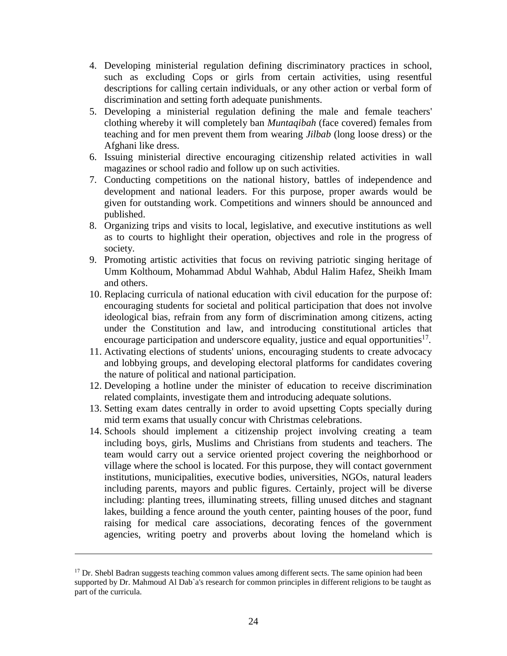- 4. Developing ministerial regulation defining discriminatory practices in school, such as excluding Cops or girls from certain activities, using resentful descriptions for calling certain individuals, or any other action or verbal form of discrimination and setting forth adequate punishments.
- 5. Developing a ministerial regulation defining the male and female teachers' clothing whereby it will completely ban *Muntaqibah* (face covered) females from teaching and for men prevent them from wearing *Jilbab* (long loose dress) or the Afghani like dress.
- 6. Issuing ministerial directive encouraging citizenship related activities in wall magazines or school radio and follow up on such activities.
- 7. Conducting competitions on the national history, battles of independence and development and national leaders. For this purpose, proper awards would be given for outstanding work. Competitions and winners should be announced and published.
- 8. Organizing trips and visits to local, legislative, and executive institutions as well as to courts to highlight their operation, objectives and role in the progress of society.
- 9. Promoting artistic activities that focus on reviving patriotic singing heritage of Umm Kolthoum, Mohammad Abdul Wahhab, Abdul Halim Hafez, Sheikh Imam and others.
- 10. Replacing curricula of national education with civil education for the purpose of: encouraging students for societal and political participation that does not involve ideological bias, refrain from any form of discrimination among citizens, acting under the Constitution and law, and introducing constitutional articles that encourage participation and underscore equality, justice and equal opportunities<sup>17</sup>.
- 11. Activating elections of students' unions, encouraging students to create advocacy and lobbying groups, and developing electoral platforms for candidates covering the nature of political and national participation.
- 12. Developing a hotline under the minister of education to receive discrimination related complaints, investigate them and introducing adequate solutions.
- 13. Setting exam dates centrally in order to avoid upsetting Copts specially during mid term exams that usually concur with Christmas celebrations.
- 14. Schools should implement a citizenship project involving creating a team including boys, girls, Muslims and Christians from students and teachers. The team would carry out a service oriented project covering the neighborhood or village where the school is located. For this purpose, they will contact government institutions, municipalities, executive bodies, universities, NGOs, natural leaders including parents, mayors and public figures. Certainly, project will be diverse including: planting trees, illuminating streets, filling unused ditches and stagnant lakes, building a fence around the youth center, painting houses of the poor, fund raising for medical care associations, decorating fences of the government agencies, writing poetry and proverbs about loving the homeland which is

 $17$  Dr. Shebl Badran suggests teaching common values among different sects. The same opinion had been supported by Dr. Mahmoud Al Dab`a's research for common principles in different religions to be taught as part of the curricula.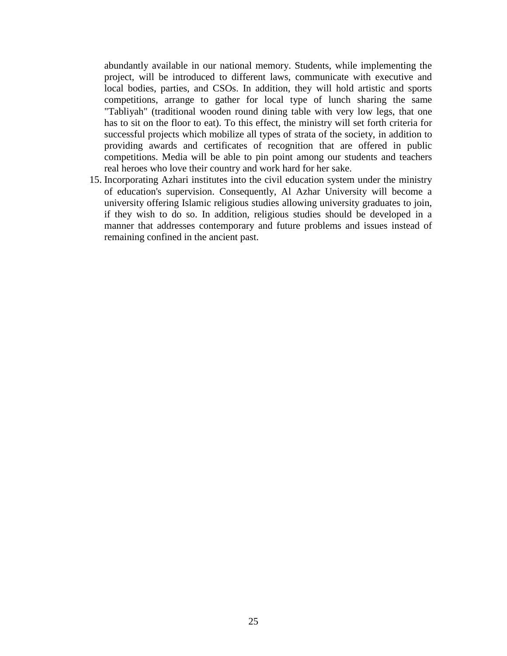abundantly available in our national memory. Students, while implementing the project, will be introduced to different laws, communicate with executive and local bodies, parties, and CSOs. In addition, they will hold artistic and sports competitions, arrange to gather for local type of lunch sharing the same "Tabliyah" (traditional wooden round dining table with very low legs, that one has to sit on the floor to eat). To this effect, the ministry will set forth criteria for successful projects which mobilize all types of strata of the society, in addition to providing awards and certificates of recognition that are offered in public competitions. Media will be able to pin point among our students and teachers real heroes who love their country and work hard for her sake.

15. Incorporating Azhari institutes into the civil education system under the ministry of education's supervision. Consequently, Al Azhar University will become a university offering Islamic religious studies allowing university graduates to join, if they wish to do so. In addition, religious studies should be developed in a manner that addresses contemporary and future problems and issues instead of remaining confined in the ancient past.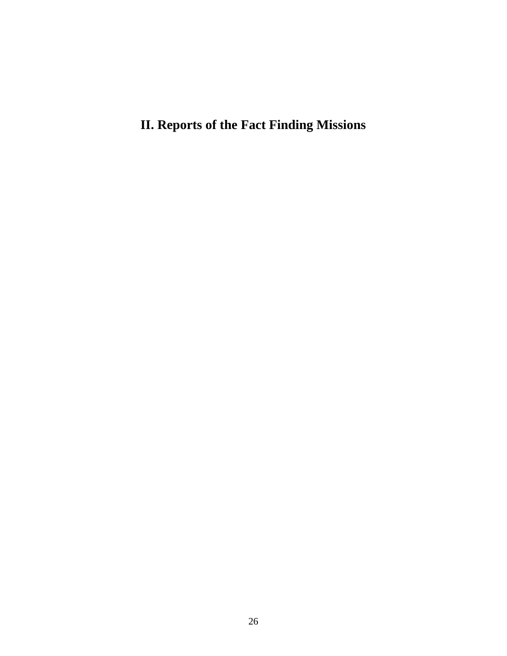**II. Reports of the Fact Finding Missions**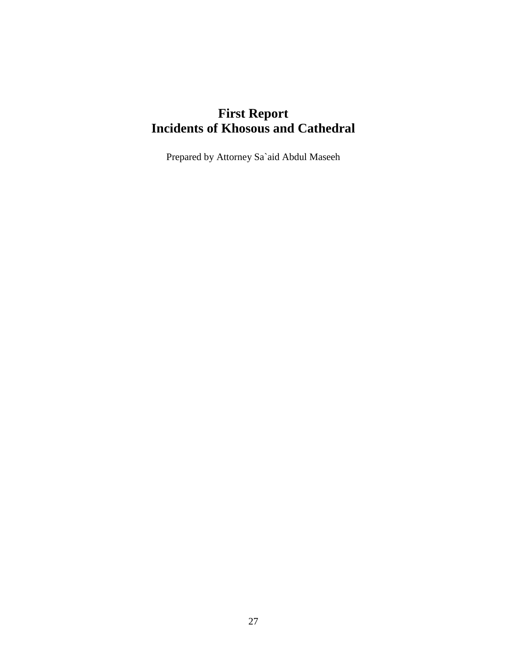# **First Report Incidents of Khosous and Cathedral**

Prepared by Attorney Sa`aid Abdul Maseeh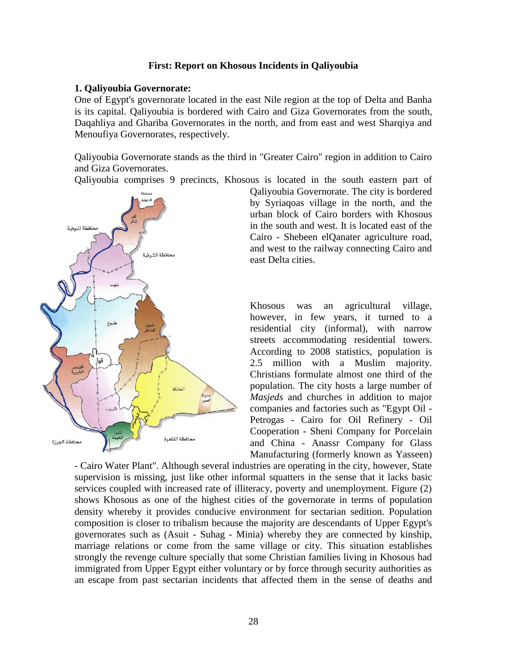#### **First: Report on Khosous Incidents in Qaliyoubia**

#### **1. Qaliyoubia Governorate:**

One of Egypt's governorate located in the east Nile region at the top of Delta and Banha is its capital. Qaliyoubia is bordered with Cairo and Giza Governorates from the south, Daqahliya and Ghariba Governorates in the north, and from east and west Sharqiya and Menoufiya Governorates, respectively.

Qaliyoubia Governorate stands as the third in "Greater Cairo" region in addition to Cairo and Giza Governorates.

Qaliyoubia comprises 9 precincts, Khosous is located in the south eastern part of



Qaliyoubia Governorate. The city is bordered by Syriaqoas village in the north, and the urban block of Cairo borders with Khosous in the south and west. It is located east of the Cairo - Shebeen elQanater agriculture road, and west to the railway connecting Cairo and east Delta cities.

Khosous was an agricultural village, however, in few years, it turned to a residential city (informal), with narrow streets accommodating residential towers. According to 2008 statistics, population is 2.5 million with a Muslim majority. Christians formulate almost one third of the population. The city hosts a large number of *Masjeds* and churches in addition to major companies and factories such as "Egypt Oil - Petrogas - Cairo for Oil Refinery - Oil Cooperation - Sheni Company for Porcelain and China - Anassr Company for Glass Manufacturing (formerly known as Yasseen)

- Cairo Water Plant". Although several industries are operating in the city, however, State supervision is missing, just like other informal squatters in the sense that it lacks basic services coupled with increased rate of illiteracy, poverty and unemployment. Figure (2) shows Khosous as one of the highest cities of the governorate in terms of population density whereby it provides conducive environment for sectarian sedition. Population composition is closer to tribalism because the majority are descendants of Upper Egypt's governorates such as (Asuit - Suhag - Minia) whereby they are connected by kinship, marriage relations or come from the same village or city. This situation establishes strongly the revenge culture specially that some Christian families living in Khosous had immigrated from Upper Egypt either voluntary or by force through security authorities as an escape from past sectarian incidents that affected them in the sense of deaths and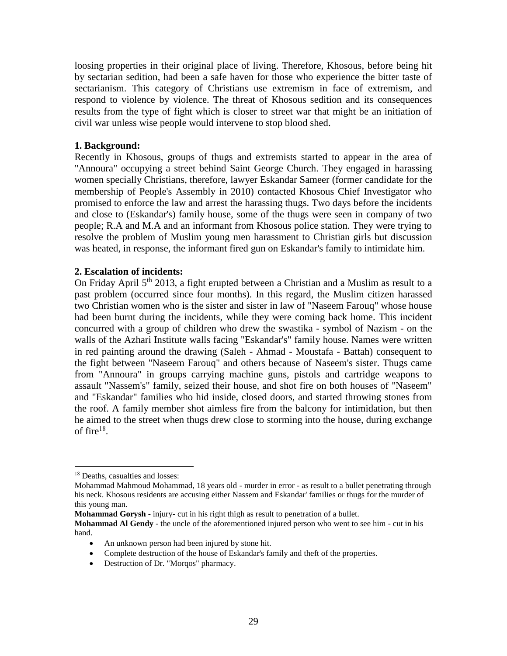loosing properties in their original place of living. Therefore, Khosous, before being hit by sectarian sedition, had been a safe haven for those who experience the bitter taste of sectarianism. This category of Christians use extremism in face of extremism, and respond to violence by violence. The threat of Khosous sedition and its consequences results from the type of fight which is closer to street war that might be an initiation of civil war unless wise people would intervene to stop blood shed.

### **1. Background:**

Recently in Khosous, groups of thugs and extremists started to appear in the area of "Annoura" occupying a street behind Saint George Church. They engaged in harassing women specially Christians, therefore, lawyer Eskandar Sameer (former candidate for the membership of People's Assembly in 2010) contacted Khosous Chief Investigator who promised to enforce the law and arrest the harassing thugs. Two days before the incidents and close to (Eskandar's) family house, some of the thugs were seen in company of two people; R.A and M.A and an informant from Khosous police station. They were trying to resolve the problem of Muslim young men harassment to Christian girls but discussion was heated, in response, the informant fired gun on Eskandar's family to intimidate him.

#### **2. Escalation of incidents:**

On Friday April 5<sup>th</sup> 2013, a fight erupted between a Christian and a Muslim as result to a past problem (occurred since four months). In this regard, the Muslim citizen harassed two Christian women who is the sister and sister in law of "Naseem Farouq" whose house had been burnt during the incidents, while they were coming back home. This incident concurred with a group of children who drew the swastika - symbol of Nazism - on the walls of the Azhari Institute walls facing "Eskandar's" family house. Names were written in red painting around the drawing (Saleh - Ahmad - Moustafa - Battah) consequent to the fight between "Naseem Farouq" and others because of Naseem's sister. Thugs came from "Annoura" in groups carrying machine guns, pistols and cartridge weapons to assault "Nassem's" family, seized their house, and shot fire on both houses of "Naseem" and "Eskandar" families who hid inside, closed doors, and started throwing stones from the roof. A family member shot aimless fire from the balcony for intimidation, but then he aimed to the street when thugs drew close to storming into the house, during exchange of fire $^{18}$ .

- Complete destruction of the house of Eskandar's family and theft of the properties.
- Destruction of Dr. "Morgos" pharmacy.

<sup>18</sup> Deaths, casualties and losses:

Mohammad Mahmoud Mohammad, 18 years old - murder in error - as result to a bullet penetrating through his neck. Khosous residents are accusing either Nassem and Eskandar' families or thugs for the murder of this young man.

**Mohammad Gorysh** - injury- cut in his right thigh as result to penetration of a bullet.

**Mohammad Al Gendy** - the uncle of the aforementioned injured person who went to see him - cut in his hand.

<sup>•</sup> An unknown person had been injured by stone hit.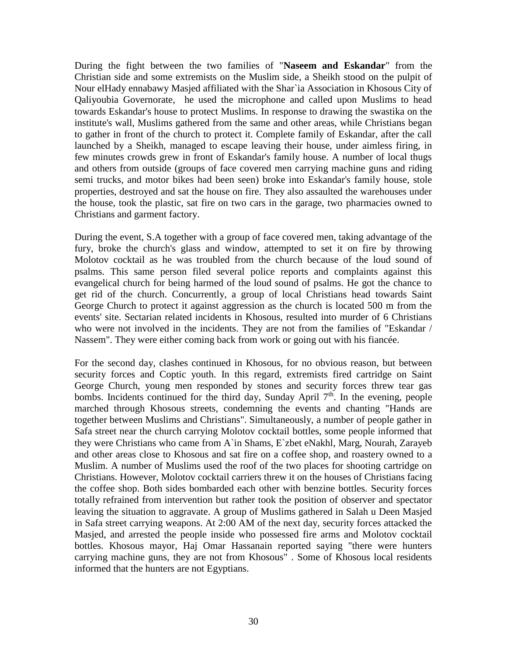During the fight between the two families of "**Naseem and Eskandar**" from the Christian side and some extremists on the Muslim side, a Sheikh stood on the pulpit of Nour elHady ennabawy Masjed affiliated with the Shar`ia Association in Khosous City of Qaliyoubia Governorate, he used the microphone and called upon Muslims to head towards Eskandar's house to protect Muslims. In response to drawing the swastika on the institute's wall, Muslims gathered from the same and other areas, while Christians began to gather in front of the church to protect it. Complete family of Eskandar, after the call launched by a Sheikh, managed to escape leaving their house, under aimless firing, in few minutes crowds grew in front of Eskandar's family house. A number of local thugs and others from outside (groups of face covered men carrying machine guns and riding semi trucks, and motor bikes had been seen) broke into Eskandar's family house, stole properties, destroyed and sat the house on fire. They also assaulted the warehouses under the house, took the plastic, sat fire on two cars in the garage, two pharmacies owned to Christians and garment factory.

During the event, S.A together with a group of face covered men, taking advantage of the fury, broke the church's glass and window, attempted to set it on fire by throwing Molotov cocktail as he was troubled from the church because of the loud sound of psalms. This same person filed several police reports and complaints against this evangelical church for being harmed of the loud sound of psalms. He got the chance to get rid of the church. Concurrently, a group of local Christians head towards Saint George Church to protect it against aggression as the church is located 500 m from the events' site. Sectarian related incidents in Khosous, resulted into murder of 6 Christians who were not involved in the incidents. They are not from the families of "Eskandar / Nassem". They were either coming back from work or going out with his fiancée.

For the second day, clashes continued in Khosous, for no obvious reason, but between security forces and Coptic youth. In this regard, extremists fired cartridge on Saint George Church, young men responded by stones and security forces threw tear gas bombs. Incidents continued for the third day, Sunday April  $7<sup>th</sup>$ . In the evening, people marched through Khosous streets, condemning the events and chanting "Hands are together between Muslims and Christians". Simultaneously, a number of people gather in Safa street near the church carrying Molotov cocktail bottles, some people informed that they were Christians who came from A`in Shams, E`zbet eNakhl, Marg, Nourah, Zarayeb and other areas close to Khosous and sat fire on a coffee shop, and roastery owned to a Muslim. A number of Muslims used the roof of the two places for shooting cartridge on Christians. However, Molotov cocktail carriers threw it on the houses of Christians facing the coffee shop. Both sides bombarded each other with benzine bottles. Security forces totally refrained from intervention but rather took the position of observer and spectator leaving the situation to aggravate. A group of Muslims gathered in Salah u Deen Masjed in Safa street carrying weapons. At 2:00 AM of the next day, security forces attacked the Masjed, and arrested the people inside who possessed fire arms and Molotov cocktail bottles. Khosous mayor, Haj Omar Hassanain reported saying "there were hunters carrying machine guns, they are not from Khosous" . Some of Khosous local residents informed that the hunters are not Egyptians.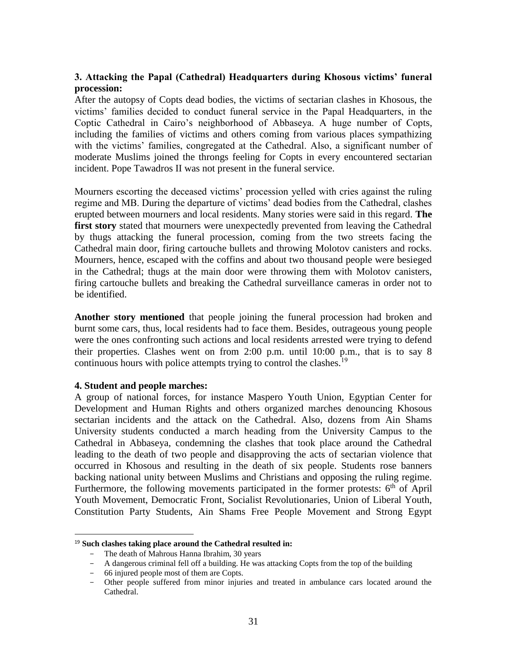## **3. Attacking the Papal (Cathedral) Headquarters during Khosous victims' funeral procession:**

After the autopsy of Copts dead bodies, the victims of sectarian clashes in Khosous, the victims' families decided to conduct funeral service in the Papal Headquarters, in the Coptic Cathedral in Cairo's neighborhood of Abbaseya. A huge number of Copts, including the families of victims and others coming from various places sympathizing with the victims' families, congregated at the Cathedral. Also, a significant number of moderate Muslims joined the throngs feeling for Copts in every encountered sectarian incident. Pope Tawadros II was not present in the funeral service.

Mourners escorting the deceased victims' procession yelled with cries against the ruling regime and MB. During the departure of victims' dead bodies from the Cathedral, clashes erupted between mourners and local residents. Many stories were said in this regard. **The first story** stated that mourners were unexpectedly prevented from leaving the Cathedral by thugs attacking the funeral procession, coming from the two streets facing the Cathedral main door, firing cartouche bullets and throwing Molotov canisters and rocks. Mourners, hence, escaped with the coffins and about two thousand people were besieged in the Cathedral; thugs at the main door were throwing them with Molotov canisters, firing cartouche bullets and breaking the Cathedral surveillance cameras in order not to be identified.

**Another story mentioned** that people joining the funeral procession had broken and burnt some cars, thus, local residents had to face them. Besides, outrageous young people were the ones confronting such actions and local residents arrested were trying to defend their properties. Clashes went on from 2:00 p.m. until 10:00 p.m., that is to say 8 continuous hours with police attempts trying to control the clashes.<sup>19</sup>

## **4. Student and people marches:**

 $\overline{a}$ 

A group of national forces, for instance Maspero Youth Union, Egyptian Center for Development and Human Rights and others organized marches denouncing Khosous sectarian incidents and the attack on the Cathedral. Also, dozens from Ain Shams University students conducted a march heading from the University Campus to the Cathedral in Abbaseya, condemning the clashes that took place around the Cathedral leading to the death of two people and disapproving the acts of sectarian violence that occurred in Khosous and resulting in the death of six people. Students rose banners backing national unity between Muslims and Christians and opposing the ruling regime. Furthermore, the following movements participated in the former protests:  $6<sup>th</sup>$  of April Youth Movement, Democratic Front, Socialist Revolutionaries, Union of Liberal Youth, Constitution Party Students, Ain Shams Free People Movement and Strong Egypt

<sup>19</sup> **Such clashes taking place around the Cathedral resulted in:**

<sup>-</sup> The death of Mahrous Hanna Ibrahim, 30 years

<sup>-</sup> A dangerous criminal fell off a building. He was attacking Copts from the top of the building

<sup>-</sup> 66 injured people most of them are Copts.

<sup>-</sup> Other people suffered from minor injuries and treated in ambulance cars located around the Cathedral.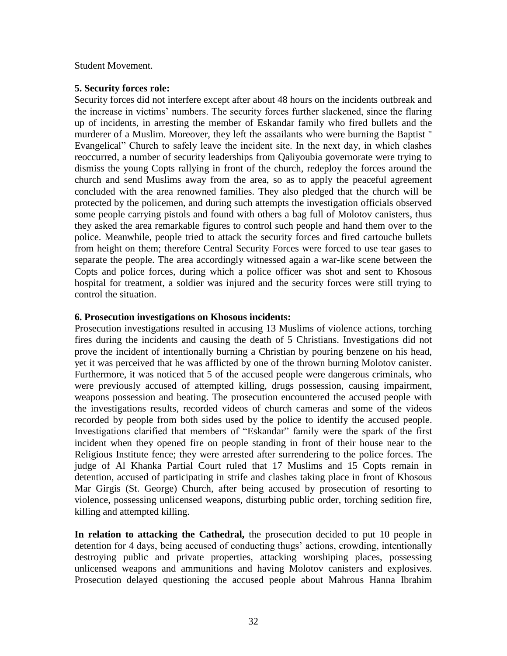#### Student Movement.

#### **5. Security forces role:**

Security forces did not interfere except after about 48 hours on the incidents outbreak and the increase in victims' numbers. The security forces further slackened, since the flaring up of incidents, in arresting the member of Eskandar family who fired bullets and the murderer of a Muslim. Moreover, they left the assailants who were burning the Baptist " Evangelical" Church to safely leave the incident site. In the next day, in which clashes reoccurred, a number of security leaderships from Qaliyoubia governorate were trying to dismiss the young Copts rallying in front of the church, redeploy the forces around the church and send Muslims away from the area, so as to apply the peaceful agreement concluded with the area renowned families. They also pledged that the church will be protected by the policemen, and during such attempts the investigation officials observed some people carrying pistols and found with others a bag full of Molotov canisters, thus they asked the area remarkable figures to control such people and hand them over to the police. Meanwhile, people tried to attack the security forces and fired cartouche bullets from height on them; therefore Central Security Forces were forced to use tear gases to separate the people. The area accordingly witnessed again a war-like scene between the Copts and police forces, during which a police officer was shot and sent to Khosous hospital for treatment, a soldier was injured and the security forces were still trying to control the situation.

### **6. Prosecution investigations on Khosous incidents:**

Prosecution investigations resulted in accusing 13 Muslims of violence actions, torching fires during the incidents and causing the death of 5 Christians. Investigations did not prove the incident of intentionally burning a Christian by pouring benzene on his head, yet it was perceived that he was afflicted by one of the thrown burning Molotov canister. Furthermore, it was noticed that 5 of the accused people were dangerous criminals, who were previously accused of attempted killing, drugs possession, causing impairment, weapons possession and beating. The prosecution encountered the accused people with the investigations results, recorded videos of church cameras and some of the videos recorded by people from both sides used by the police to identify the accused people. Investigations clarified that members of "Eskandar" family were the spark of the first incident when they opened fire on people standing in front of their house near to the Religious Institute fence; they were arrested after surrendering to the police forces. The judge of Al Khanka Partial Court ruled that 17 Muslims and 15 Copts remain in detention, accused of participating in strife and clashes taking place in front of Khosous Mar Girgis (St. George) Church, after being accused by prosecution of resorting to violence, possessing unlicensed weapons, disturbing public order, torching sedition fire, killing and attempted killing.

**In relation to attacking the Cathedral,** the prosecution decided to put 10 people in detention for 4 days, being accused of conducting thugs' actions, crowding, intentionally destroying public and private properties, attacking worshiping places, possessing unlicensed weapons and ammunitions and having Molotov canisters and explosives. Prosecution delayed questioning the accused people about Mahrous Hanna Ibrahim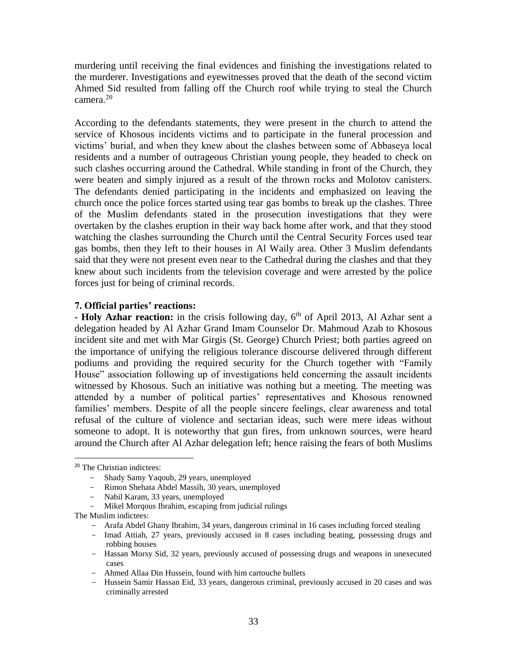murdering until receiving the final evidences and finishing the investigations related to the murderer. Investigations and eyewitnesses proved that the death of the second victim Ahmed Sid resulted from falling off the Church roof while trying to steal the Church camera.<sup>20</sup>

According to the defendants statements, they were present in the church to attend the service of Khosous incidents victims and to participate in the funeral procession and victims' burial, and when they knew about the clashes between some of Abbaseya local residents and a number of outrageous Christian young people, they headed to check on such clashes occurring around the Cathedral. While standing in front of the Church, they were beaten and simply injured as a result of the thrown rocks and Molotov canisters. The defendants denied participating in the incidents and emphasized on leaving the church once the police forces started using tear gas bombs to break up the clashes. Three of the Muslim defendants stated in the prosecution investigations that they were overtaken by the clashes eruption in their way back home after work, and that they stood watching the clashes surrounding the Church until the Central Security Forces used tear gas bombs, then they left to their houses in Al Waily area. Other 3 Muslim defendants said that they were not present even near to the Cathedral during the clashes and that they knew about such incidents from the television coverage and were arrested by the police forces just for being of criminal records.

#### **7. Official parties' reactions:**

**- Holy Azhar reaction:** in the crisis following day, 6<sup>th</sup> of April 2013, Al Azhar sent a delegation headed by Al Azhar Grand Imam Counselor Dr. Mahmoud Azab to Khosous incident site and met with Mar Girgis (St. George) Church Priest; both parties agreed on the importance of unifying the religious tolerance discourse delivered through different podiums and providing the required security for the Church together with "Family House" association following up of investigations held concerning the assault incidents witnessed by Khosous. Such an initiative was nothing but a meeting. The meeting was attended by a number of political parties' representatives and Khosous renowned families' members. Despite of all the people sincere feelings, clear awareness and total refusal of the culture of violence and sectarian ideas, such were mere ideas without someone to adopt. It is noteworthy that gun fires, from unknown sources, were heard around the Church after Al Azhar delegation left; hence raising the fears of both Muslims

<sup>20</sup> The Christian indictees:

<sup>-</sup> Shady Samy Yaqoub, 29 years, unemployed

<sup>-</sup> Rimon Shehata Abdel Massih, 30 years, unemployed

<sup>-</sup> Nabil Karam, 33 years, unemployed

<sup>-</sup> Mikel Morqous Ibrahim, escaping from judicial rulings

The Muslim indictees:

<sup>-</sup> Arafa Abdel Ghany Ibrahim, 34 years, dangerous criminal in 16 cases including forced stealing

<sup>-</sup> Imad Attiah, 27 years, previously accused in 8 cases including beating, possessing drugs and robbing houses

<sup>-</sup> Hassan Morsy Sid, 32 years, previously accused of possessing drugs and weapons in unexecuted cases

<sup>-</sup> Ahmed Allaa Din Hussein, found with him cartouche bullets

<sup>-</sup> Hussein Samir Hassan Eid, 33 years, dangerous criminal, previously accused in 20 cases and was criminally arrested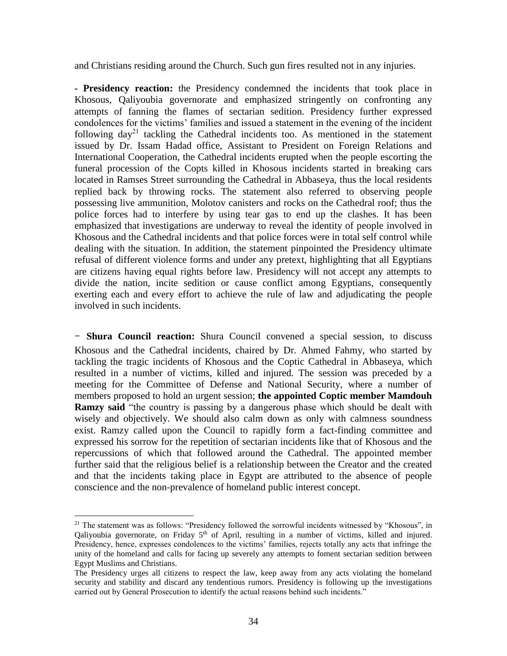and Christians residing around the Church. Such gun fires resulted not in any injuries.

**- Presidency reaction:** the Presidency condemned the incidents that took place in Khosous, Qaliyoubia governorate and emphasized stringently on confronting any attempts of fanning the flames of sectarian sedition. Presidency further expressed condolences for the victims' families and issued a statement in the evening of the incident following  $day^{21}$  tackling the Cathedral incidents too. As mentioned in the statement issued by Dr. Issam Hadad office, Assistant to President on Foreign Relations and International Cooperation, the Cathedral incidents erupted when the people escorting the funeral procession of the Copts killed in Khosous incidents started in breaking cars located in Ramses Street surrounding the Cathedral in Abbaseya, thus the local residents replied back by throwing rocks. The statement also referred to observing people possessing live ammunition, Molotov canisters and rocks on the Cathedral roof; thus the police forces had to interfere by using tear gas to end up the clashes. It has been emphasized that investigations are underway to reveal the identity of people involved in Khosous and the Cathedral incidents and that police forces were in total self control while dealing with the situation. In addition, the statement pinpointed the Presidency ultimate refusal of different violence forms and under any pretext, highlighting that all Egyptians are citizens having equal rights before law. Presidency will not accept any attempts to divide the nation, incite sedition or cause conflict among Egyptians, consequently exerting each and every effort to achieve the rule of law and adjudicating the people involved in such incidents.

**- Shura Council reaction:** Shura Council convened a special session, to discuss Khosous and the Cathedral incidents, chaired by Dr. Ahmed Fahmy, who started by tackling the tragic incidents of Khosous and the Coptic Cathedral in Abbaseya, which resulted in a number of victims, killed and injured. The session was preceded by a meeting for the Committee of Defense and National Security, where a number of members proposed to hold an urgent session; **the appointed Coptic member Mamdouh Ramzy said** "the country is passing by a dangerous phase which should be dealt with wisely and objectively. We should also calm down as only with calmness soundness exist. Ramzy called upon the Council to rapidly form a fact-finding committee and expressed his sorrow for the repetition of sectarian incidents like that of Khosous and the repercussions of which that followed around the Cathedral. The appointed member further said that the religious belief is a relationship between the Creator and the created and that the incidents taking place in Egypt are attributed to the absence of people conscience and the non-prevalence of homeland public interest concept.

 $21$  The statement was as follows: "Presidency followed the sorrowful incidents witnessed by "Khosous", in Qaliyoubia governorate, on Friday  $5<sup>th</sup>$  of April, resulting in a number of victims, killed and injured. Presidency, hence, expresses condolences to the victims' families, rejects totally any acts that infringe the unity of the homeland and calls for facing up severely any attempts to foment sectarian sedition between Egypt Muslims and Christians.

The Presidency urges all citizens to respect the law, keep away from any acts violating the homeland security and stability and discard any tendentious rumors. Presidency is following up the investigations carried out by General Prosecution to identify the actual reasons behind such incidents."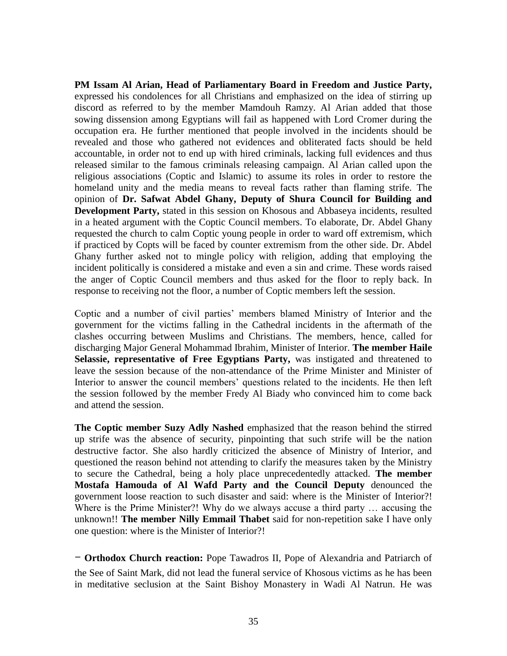**PM Issam Al Arian, Head of Parliamentary Board in Freedom and Justice Party,**  expressed his condolences for all Christians and emphasized on the idea of stirring up discord as referred to by the member Mamdouh Ramzy. Al Arian added that those sowing dissension among Egyptians will fail as happened with Lord Cromer during the occupation era. He further mentioned that people involved in the incidents should be revealed and those who gathered not evidences and obliterated facts should be held accountable, in order not to end up with hired criminals, lacking full evidences and thus released similar to the famous criminals releasing campaign. Al Arian called upon the religious associations (Coptic and Islamic) to assume its roles in order to restore the homeland unity and the media means to reveal facts rather than flaming strife. The opinion of **Dr. Safwat Abdel Ghany, Deputy of Shura Council for Building and Development Party,** stated in this session on Khosous and Abbaseya incidents, resulted in a heated argument with the Coptic Council members. To elaborate, Dr. Abdel Ghany requested the church to calm Coptic young people in order to ward off extremism, which if practiced by Copts will be faced by counter extremism from the other side. Dr. Abdel Ghany further asked not to mingle policy with religion, adding that employing the incident politically is considered a mistake and even a sin and crime. These words raised the anger of Coptic Council members and thus asked for the floor to reply back. In response to receiving not the floor, a number of Coptic members left the session.

Coptic and a number of civil parties' members blamed Ministry of Interior and the government for the victims falling in the Cathedral incidents in the aftermath of the clashes occurring between Muslims and Christians. The members, hence, called for discharging Major General Mohammad Ibrahim, Minister of Interior. **The member Haile Selassie, representative of Free Egyptians Party,** was instigated and threatened to leave the session because of the non-attendance of the Prime Minister and Minister of Interior to answer the council members' questions related to the incidents. He then left the session followed by the member Fredy Al Biady who convinced him to come back and attend the session.

**The Coptic member Suzy Adly Nashed** emphasized that the reason behind the stirred up strife was the absence of security, pinpointing that such strife will be the nation destructive factor. She also hardly criticized the absence of Ministry of Interior, and questioned the reason behind not attending to clarify the measures taken by the Ministry to secure the Cathedral, being a holy place unprecedentedly attacked. **The member Mostafa Hamouda of Al Wafd Party and the Council Deputy** denounced the government loose reaction to such disaster and said: where is the Minister of Interior?! Where is the Prime Minister?! Why do we always accuse a third party … accusing the unknown!! **The member Nilly Emmail Thabet** said for non-repetition sake I have only one question: where is the Minister of Interior?!

**- Orthodox Church reaction:** Pope Tawadros II, Pope of Alexandria and Patriarch of the See of Saint Mark, did not lead the funeral service of Khosous victims as he has been in meditative seclusion at the Saint Bishoy Monastery in Wadi Al Natrun. He was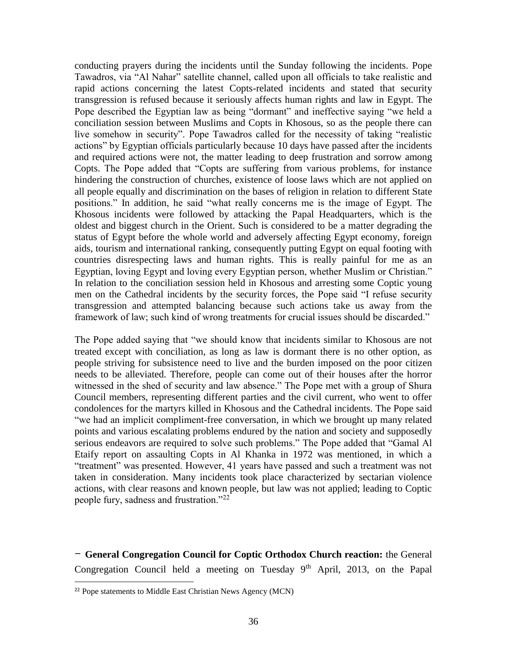conducting prayers during the incidents until the Sunday following the incidents. Pope Tawadros, via "Al Nahar" satellite channel, called upon all officials to take realistic and rapid actions concerning the latest Copts-related incidents and stated that security transgression is refused because it seriously affects human rights and law in Egypt. The Pope described the Egyptian law as being "dormant" and ineffective saying "we held a conciliation session between Muslims and Copts in Khosous, so as the people there can live somehow in security". Pope Tawadros called for the necessity of taking "realistic actions" by Egyptian officials particularly because 10 days have passed after the incidents and required actions were not, the matter leading to deep frustration and sorrow among Copts. The Pope added that "Copts are suffering from various problems, for instance hindering the construction of churches, existence of loose laws which are not applied on all people equally and discrimination on the bases of religion in relation to different State positions." In addition, he said "what really concerns me is the image of Egypt. The Khosous incidents were followed by attacking the Papal Headquarters, which is the oldest and biggest church in the Orient. Such is considered to be a matter degrading the status of Egypt before the whole world and adversely affecting Egypt economy, foreign aids, tourism and international ranking, consequently putting Egypt on equal footing with countries disrespecting laws and human rights. This is really painful for me as an Egyptian, loving Egypt and loving every Egyptian person, whether Muslim or Christian." In relation to the conciliation session held in Khosous and arresting some Coptic young men on the Cathedral incidents by the security forces, the Pope said "I refuse security transgression and attempted balancing because such actions take us away from the framework of law; such kind of wrong treatments for crucial issues should be discarded."

The Pope added saying that "we should know that incidents similar to Khosous are not treated except with conciliation, as long as law is dormant there is no other option, as people striving for subsistence need to live and the burden imposed on the poor citizen needs to be alleviated. Therefore, people can come out of their houses after the horror witnessed in the shed of security and law absence." The Pope met with a group of Shura Council members, representing different parties and the civil current, who went to offer condolences for the martyrs killed in Khosous and the Cathedral incidents. The Pope said "we had an implicit compliment-free conversation, in which we brought up many related points and various escalating problems endured by the nation and society and supposedly serious endeavors are required to solve such problems." The Pope added that "Gamal Al Etaify report on assaulting Copts in Al Khanka in 1972 was mentioned, in which a "treatment" was presented. However, 41 years have passed and such a treatment was not taken in consideration. Many incidents took place characterized by sectarian violence actions, with clear reasons and known people, but law was not applied; leading to Coptic people fury, sadness and frustration."<sup>22</sup>

**- General Congregation Council for Coptic Orthodox Church reaction:** the General Congregation Council held a meeting on Tuesday  $9<sup>th</sup>$  April, 2013, on the Papal

<sup>22</sup> Pope statements to Middle East Christian News Agency (MCN)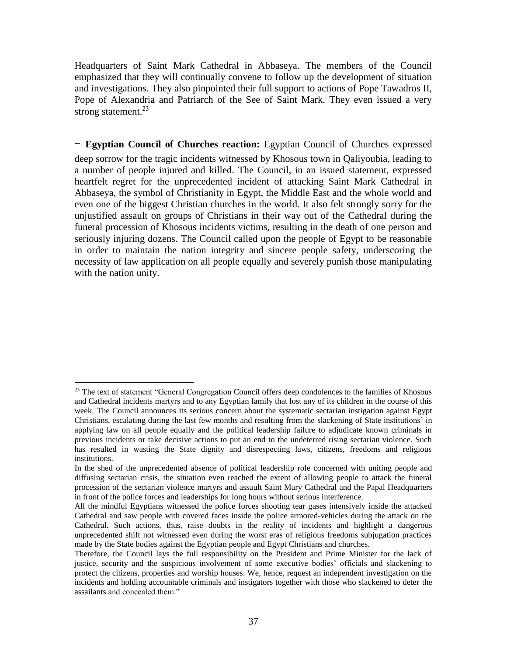Headquarters of Saint Mark Cathedral in Abbaseya. The members of the Council emphasized that they will continually convene to follow up the development of situation and investigations. They also pinpointed their full support to actions of Pope Tawadros II, Pope of Alexandria and Patriarch of the See of Saint Mark. They even issued a very strong statement.<sup>23</sup>

### **- Egyptian Council of Churches reaction:** Egyptian Council of Churches expressed

deep sorrow for the tragic incidents witnessed by Khosous town in Qaliyoubia, leading to a number of people injured and killed. The Council, in an issued statement, expressed heartfelt regret for the unprecedented incident of attacking Saint Mark Cathedral in Abbaseya, the symbol of Christianity in Egypt, the Middle East and the whole world and even one of the biggest Christian churches in the world. It also felt strongly sorry for the unjustified assault on groups of Christians in their way out of the Cathedral during the funeral procession of Khosous incidents victims, resulting in the death of one person and seriously injuring dozens. The Council called upon the people of Egypt to be reasonable in order to maintain the nation integrity and sincere people safety, underscoring the necessity of law application on all people equally and severely punish those manipulating with the nation unity.

 $\overline{a}$  $^{23}$  The text of statement "General Congregation Council offers deep condolences to the families of Khosous and Cathedral incidents martyrs and to any Egyptian family that lost any of its children in the course of this week. The Council announces its serious concern about the systematic sectarian instigation against Egypt Christians, escalating during the last few months and resulting from the slackening of State institutions' in applying law on all people equally and the political leadership failure to adjudicate known criminals in previous incidents or take decisive actions to put an end to the undeterred rising sectarian violence. Such has resulted in wasting the State dignity and disrespecting laws, citizens, freedoms and religious institutions.

In the shed of the unprecedented absence of political leadership role concerned with uniting people and diffusing sectarian crisis, the situation even reached the extent of allowing people to attack the funeral procession of the sectarian violence martyrs and assault Saint Mary Cathedral and the Papal Headquarters in front of the police forces and leaderships for long hours without serious interference.

All the mindful Egyptians witnessed the police forces shooting tear gases intensively inside the attacked Cathedral and saw people with covered faces inside the police armored-vehicles during the attack on the Cathedral. Such actions, thus, raise doubts in the reality of incidents and highlight a dangerous unprecedented shift not witnessed even during the worst eras of religious freedoms subjugation practices made by the State bodies against the Egyptian people and Egypt Christians and churches.

Therefore, the Council lays the full responsibility on the President and Prime Minister for the lack of justice, security and the suspicious involvement of some executive bodies' officials and slackening to protect the citizens, properties and worship houses. We, hence, request an independent investigation on the incidents and holding accountable criminals and instigators together with those who slackened to deter the assailants and concealed them."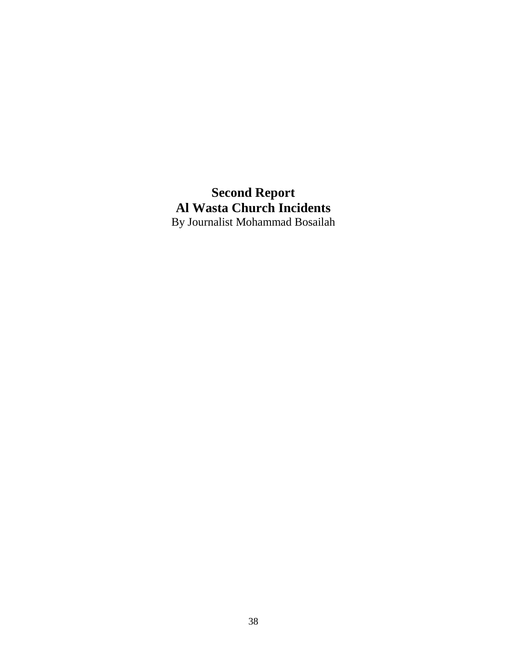**Second Report Al Wasta Church Incidents** By Journalist Mohammad Bosailah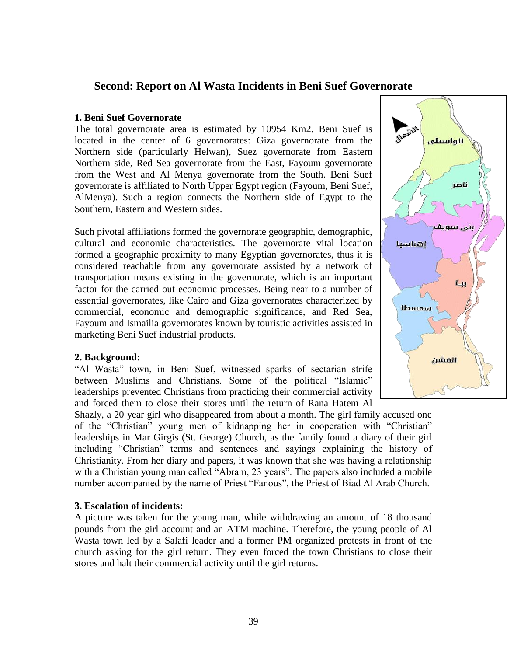# **Second: Report on Al Wasta Incidents in Beni Suef Governorate**

#### **1. Beni Suef Governorate**

The total governorate area is estimated by 10954 Km2. Beni Suef is located in the center of 6 governorates: Giza governorate from the Northern side (particularly Helwan), Suez governorate from Eastern Northern side, Red Sea governorate from the East, Fayoum governorate from the West and Al Menya governorate from the South. Beni Suef governorate is affiliated to North Upper Egypt region (Fayoum, Beni Suef, AlMenya). Such a region connects the Northern side of Egypt to the Southern, Eastern and Western sides.

Such pivotal affiliations formed the governorate geographic, demographic, cultural and economic characteristics. The governorate vital location formed a geographic proximity to many Egyptian governorates, thus it is considered reachable from any governorate assisted by a network of transportation means existing in the governorate, which is an important factor for the carried out economic processes. Being near to a number of essential governorates, like Cairo and Giza governorates characterized by commercial, economic and demographic significance, and Red Sea, Fayoum and Ismailia governorates known by touristic activities assisted in marketing Beni Suef industrial products.

#### **2. Background:**

"Al Wasta" town, in Beni Suef, witnessed sparks of sectarian strife between Muslims and Christians. Some of the political "Islamic" leaderships prevented Christians from practicing their commercial activity and forced them to close their stores until the return of Rana Hatem Al

Shazly, a 20 year girl who disappeared from about a month. The girl family accused one of the "Christian" young men of kidnapping her in cooperation with "Christian" leaderships in Mar Girgis (St. George) Church, as the family found a diary of their girl including "Christian" terms and sentences and sayings explaining the history of Christianity. From her diary and papers, it was known that she was having a relationship with a Christian young man called "Abram, 23 years". The papers also included a mobile number accompanied by the name of Priest "Fanous", the Priest of Biad Al Arab Church.

### **3. Escalation of incidents:**

A picture was taken for the young man, while withdrawing an amount of 18 thousand pounds from the girl account and an ATM machine. Therefore, the young people of Al Wasta town led by a Salafi leader and a former PM organized protests in front of the church asking for the girl return. They even forced the town Christians to close their stores and halt their commercial activity until the girl returns.

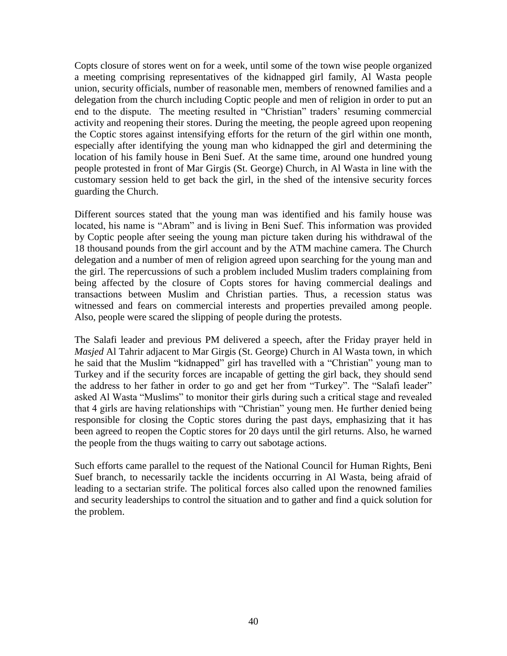Copts closure of stores went on for a week, until some of the town wise people organized a meeting comprising representatives of the kidnapped girl family, Al Wasta people union, security officials, number of reasonable men, members of renowned families and a delegation from the church including Coptic people and men of religion in order to put an end to the dispute. The meeting resulted in "Christian" traders' resuming commercial activity and reopening their stores. During the meeting, the people agreed upon reopening the Coptic stores against intensifying efforts for the return of the girl within one month, especially after identifying the young man who kidnapped the girl and determining the location of his family house in Beni Suef. At the same time, around one hundred young people protested in front of Mar Girgis (St. George) Church, in Al Wasta in line with the customary session held to get back the girl, in the shed of the intensive security forces guarding the Church.

Different sources stated that the young man was identified and his family house was located, his name is "Abram" and is living in Beni Suef. This information was provided by Coptic people after seeing the young man picture taken during his withdrawal of the 18 thousand pounds from the girl account and by the ATM machine camera. The Church delegation and a number of men of religion agreed upon searching for the young man and the girl. The repercussions of such a problem included Muslim traders complaining from being affected by the closure of Copts stores for having commercial dealings and transactions between Muslim and Christian parties. Thus, a recession status was witnessed and fears on commercial interests and properties prevailed among people. Also, people were scared the slipping of people during the protests.

The Salafi leader and previous PM delivered a speech, after the Friday prayer held in *Masjed* Al Tahrir adjacent to Mar Girgis (St. George) Church in Al Wasta town, in which he said that the Muslim "kidnapped" girl has travelled with a "Christian" young man to Turkey and if the security forces are incapable of getting the girl back, they should send the address to her father in order to go and get her from "Turkey". The "Salafi leader" asked Al Wasta "Muslims" to monitor their girls during such a critical stage and revealed that 4 girls are having relationships with "Christian" young men. He further denied being responsible for closing the Coptic stores during the past days, emphasizing that it has been agreed to reopen the Coptic stores for 20 days until the girl returns. Also, he warned the people from the thugs waiting to carry out sabotage actions.

Such efforts came parallel to the request of the National Council for Human Rights, Beni Suef branch, to necessarily tackle the incidents occurring in Al Wasta, being afraid of leading to a sectarian strife. The political forces also called upon the renowned families and security leaderships to control the situation and to gather and find a quick solution for the problem.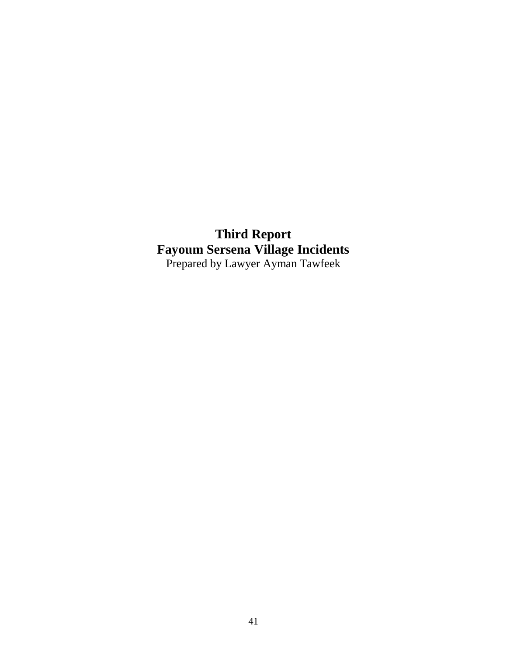**Third Report Fayoum Sersena Village Incidents** Prepared by Lawyer Ayman Tawfeek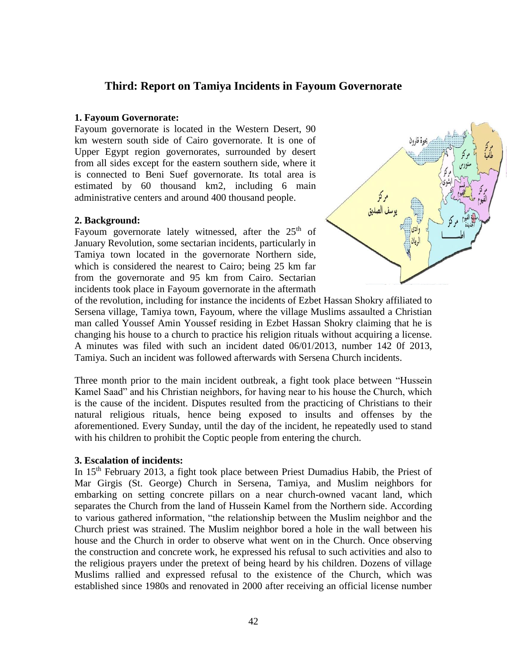# **Third: Report on Tamiya Incidents in Fayoum Governorate**

#### **1. Fayoum Governorate:**

Fayoum governorate is located in the Western Desert, 90 km western south side of Cairo governorate. It is one of Upper Egypt region governorates, surrounded by desert from all sides except for the eastern southern side, where it is connected to Beni Suef governorate. Its total area is estimated by 60 thousand km2, including 6 main administrative centers and around 400 thousand people.

### **2. Background:**

Fayoum governorate lately witnessed, after the  $25<sup>th</sup>$  of January Revolution, some sectarian incidents, particularly in Tamiya town located in the governorate Northern side, which is considered the nearest to Cairo; being 25 km far from the governorate and 95 km from Cairo. Sectarian incidents took place in Fayoum governorate in the aftermath



of the revolution, including for instance the incidents of Ezbet Hassan Shokry affiliated to Sersena village, Tamiya town, Fayoum, where the village Muslims assaulted a Christian man called Youssef Amin Youssef residing in Ezbet Hassan Shokry claiming that he is changing his house to a church to practice his religion rituals without acquiring a license. A minutes was filed with such an incident dated 06/01/2013, number 142 0f 2013, Tamiya. Such an incident was followed afterwards with Sersena Church incidents.

Three month prior to the main incident outbreak, a fight took place between "Hussein Kamel Saad" and his Christian neighbors, for having near to his house the Church, which is the cause of the incident. Disputes resulted from the practicing of Christians to their natural religious rituals, hence being exposed to insults and offenses by the aforementioned. Every Sunday, until the day of the incident, he repeatedly used to stand with his children to prohibit the Coptic people from entering the church.

### **3. Escalation of incidents:**

In 15<sup>th</sup> February 2013, a fight took place between Priest Dumadius Habib, the Priest of Mar Girgis (St. George) Church in Sersena, Tamiya, and Muslim neighbors for embarking on setting concrete pillars on a near church-owned vacant land, which separates the Church from the land of Hussein Kamel from the Northern side. According to various gathered information, "the relationship between the Muslim neighbor and the Church priest was strained. The Muslim neighbor bored a hole in the wall between his house and the Church in order to observe what went on in the Church. Once observing the construction and concrete work, he expressed his refusal to such activities and also to the religious prayers under the pretext of being heard by his children. Dozens of village Muslims rallied and expressed refusal to the existence of the Church, which was established since 1980s and renovated in 2000 after receiving an official license number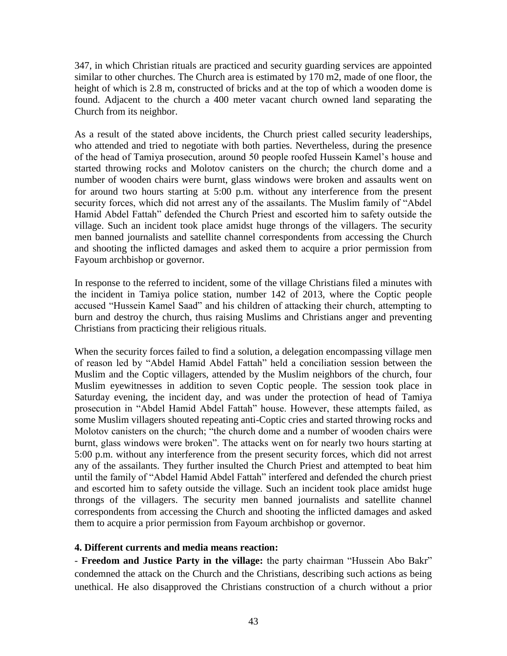347, in which Christian rituals are practiced and security guarding services are appointed similar to other churches. The Church area is estimated by 170 m2, made of one floor, the height of which is 2.8 m, constructed of bricks and at the top of which a wooden dome is found. Adjacent to the church a 400 meter vacant church owned land separating the Church from its neighbor.

As a result of the stated above incidents, the Church priest called security leaderships, who attended and tried to negotiate with both parties. Nevertheless, during the presence of the head of Tamiya prosecution, around 50 people roofed Hussein Kamel's house and started throwing rocks and Molotov canisters on the church; the church dome and a number of wooden chairs were burnt, glass windows were broken and assaults went on for around two hours starting at 5:00 p.m. without any interference from the present security forces, which did not arrest any of the assailants. The Muslim family of "Abdel Hamid Abdel Fattah" defended the Church Priest and escorted him to safety outside the village. Such an incident took place amidst huge throngs of the villagers. The security men banned journalists and satellite channel correspondents from accessing the Church and shooting the inflicted damages and asked them to acquire a prior permission from Fayoum archbishop or governor.

In response to the referred to incident, some of the village Christians filed a minutes with the incident in Tamiya police station, number 142 of 2013, where the Coptic people accused "Hussein Kamel Saad" and his children of attacking their church, attempting to burn and destroy the church, thus raising Muslims and Christians anger and preventing Christians from practicing their religious rituals.

When the security forces failed to find a solution, a delegation encompassing village men of reason led by "Abdel Hamid Abdel Fattah" held a conciliation session between the Muslim and the Coptic villagers, attended by the Muslim neighbors of the church, four Muslim eyewitnesses in addition to seven Coptic people. The session took place in Saturday evening, the incident day, and was under the protection of head of Tamiya prosecution in "Abdel Hamid Abdel Fattah" house. However, these attempts failed, as some Muslim villagers shouted repeating anti-Coptic cries and started throwing rocks and Molotov canisters on the church; "the church dome and a number of wooden chairs were burnt, glass windows were broken". The attacks went on for nearly two hours starting at 5:00 p.m. without any interference from the present security forces, which did not arrest any of the assailants. They further insulted the Church Priest and attempted to beat him until the family of "Abdel Hamid Abdel Fattah" interfered and defended the church priest and escorted him to safety outside the village. Such an incident took place amidst huge throngs of the villagers. The security men banned journalists and satellite channel correspondents from accessing the Church and shooting the inflicted damages and asked them to acquire a prior permission from Fayoum archbishop or governor.

### **4. Different currents and media means reaction:**

- **Freedom and Justice Party in the village:** the party chairman "Hussein Abo Bakr" condemned the attack on the Church and the Christians, describing such actions as being unethical. He also disapproved the Christians construction of a church without a prior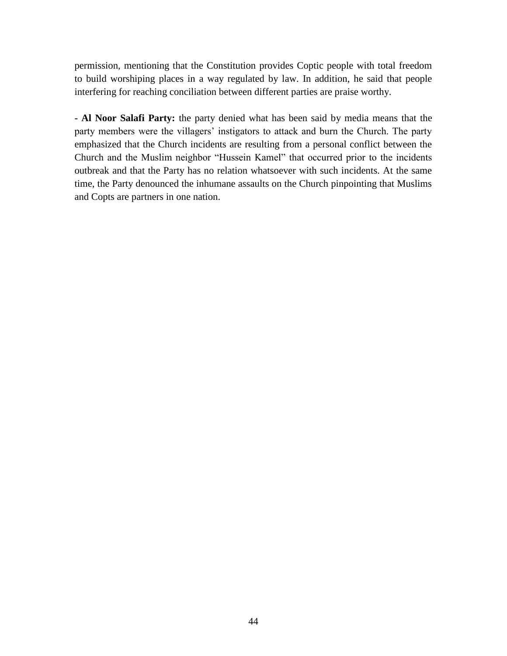permission, mentioning that the Constitution provides Coptic people with total freedom to build worshiping places in a way regulated by law. In addition, he said that people interfering for reaching conciliation between different parties are praise worthy.

**- Al Noor Salafi Party:** the party denied what has been said by media means that the party members were the villagers' instigators to attack and burn the Church. The party emphasized that the Church incidents are resulting from a personal conflict between the Church and the Muslim neighbor "Hussein Kamel" that occurred prior to the incidents outbreak and that the Party has no relation whatsoever with such incidents. At the same time, the Party denounced the inhumane assaults on the Church pinpointing that Muslims and Copts are partners in one nation.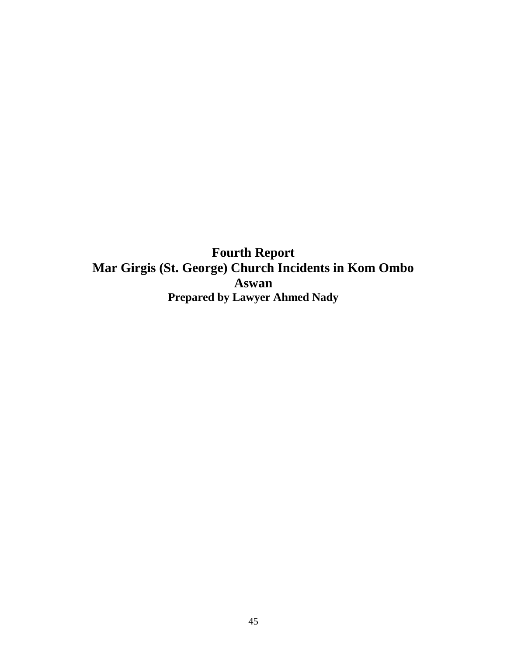**Fourth Report Mar Girgis (St. George) Church Incidents in Kom Ombo Aswan Prepared by Lawyer Ahmed Nady**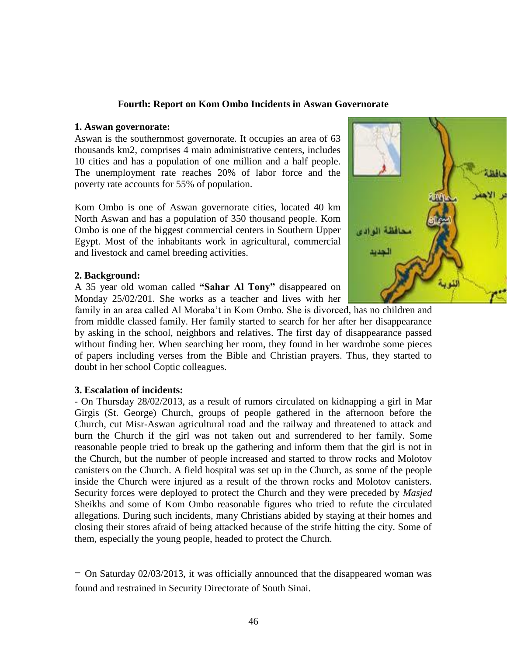### **Fourth: Report on Kom Ombo Incidents in Aswan Governorate**

#### **1. Aswan governorate:**

Aswan is the southernmost governorate. It occupies an area of 63 thousands km2, comprises 4 main administrative centers, includes 10 cities and has a population of one million and a half people. The unemployment rate reaches 20% of labor force and the poverty rate accounts for 55% of population.

Kom Ombo is one of Aswan governorate cities, located 40 km North Aswan and has a population of 350 thousand people. Kom Ombo is one of the biggest commercial centers in Southern Upper Egypt. Most of the inhabitants work in agricultural, commercial and livestock and camel breeding activities.

#### **2. Background:**

A 35 year old woman called **"Sahar Al Tony"** disappeared on Monday 25/02/201. She works as a teacher and lives with her



family in an area called Al Moraba't in Kom Ombo. She is divorced, has no children and from middle classed family. Her family started to search for her after her disappearance by asking in the school, neighbors and relatives. The first day of disappearance passed without finding her. When searching her room, they found in her wardrobe some pieces of papers including verses from the Bible and Christian prayers. Thus, they started to doubt in her school Coptic colleagues.

#### **3. Escalation of incidents:**

- On Thursday 28/02/2013, as a result of rumors circulated on kidnapping a girl in Mar Girgis (St. George) Church, groups of people gathered in the afternoon before the Church, cut Misr-Aswan agricultural road and the railway and threatened to attack and burn the Church if the girl was not taken out and surrendered to her family. Some reasonable people tried to break up the gathering and inform them that the girl is not in the Church, but the number of people increased and started to throw rocks and Molotov canisters on the Church. A field hospital was set up in the Church, as some of the people inside the Church were injured as a result of the thrown rocks and Molotov canisters. Security forces were deployed to protect the Church and they were preceded by *Masjed* Sheikhs and some of Kom Ombo reasonable figures who tried to refute the circulated allegations. During such incidents, many Christians abided by staying at their homes and closing their stores afraid of being attacked because of the strife hitting the city. Some of them, especially the young people, headed to protect the Church.

- On Saturday 02/03/2013, it was officially announced that the disappeared woman was found and restrained in Security Directorate of South Sinai.